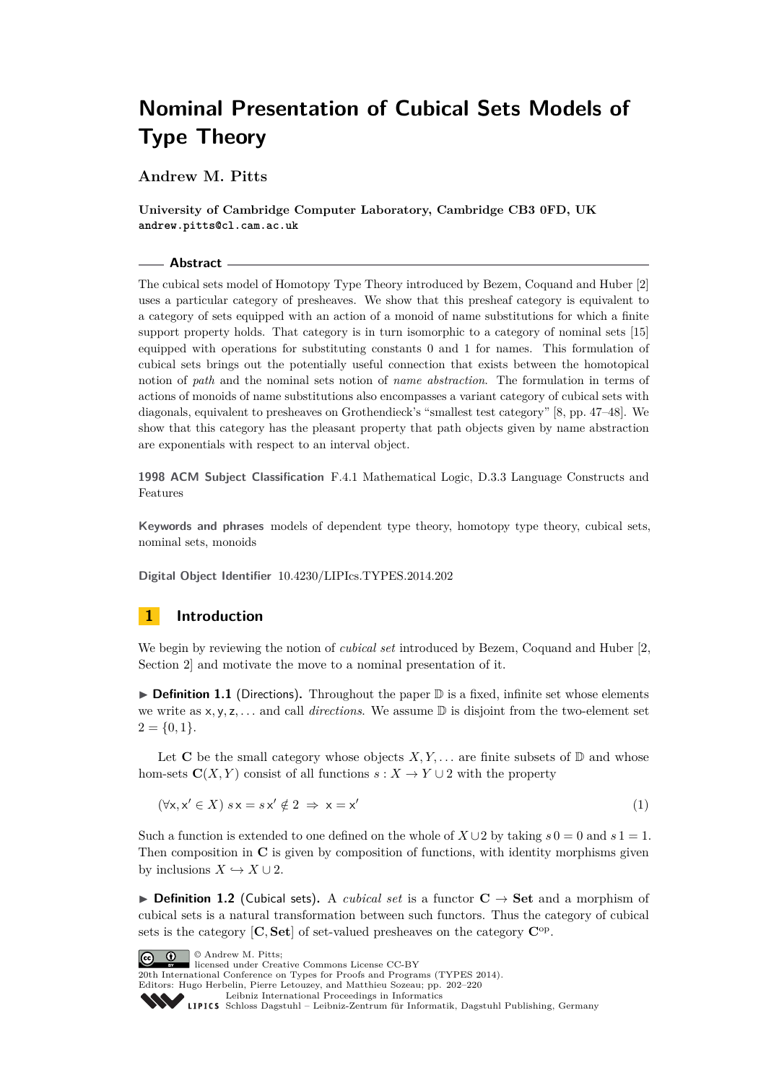**Andrew M. Pitts**

**University of Cambridge Computer Laboratory, Cambridge CB3 0FD, UK andrew.pitts@cl.cam.ac.uk**

#### **Abstract**

The cubical sets model of Homotopy Type Theory introduced by Bezem, Coquand and Huber [\[2\]](#page-17-0) uses a particular category of presheaves. We show that this presheaf category is equivalent to a category of sets equipped with an action of a monoid of name substitutions for which a finite support property holds. That category is in turn isomorphic to a category of nominal sets [\[15\]](#page-17-1) equipped with operations for substituting constants 0 and 1 for names. This formulation of cubical sets brings out the potentially useful connection that exists between the homotopical notion of *path* and the nominal sets notion of *name abstraction*. The formulation in terms of actions of monoids of name substitutions also encompasses a variant category of cubical sets with diagonals, equivalent to presheaves on Grothendieck's "smallest test category" [\[8,](#page-17-2) pp. 47–48]. We show that this category has the pleasant property that path objects given by name abstraction are exponentials with respect to an interval object.

**1998 ACM Subject Classification** F.4.1 Mathematical Logic, D.3.3 Language Constructs and Features

**Keywords and phrases** models of dependent type theory, homotopy type theory, cubical sets, nominal sets, monoids

**Digital Object Identifier** [10.4230/LIPIcs.TYPES.2014.202](http://dx.doi.org/10.4230/LIPIcs.TYPES.2014.202)

### <span id="page-0-1"></span>**1 Introduction**

We begin by reviewing the notion of *cubical set* introduced by Bezem, Coquand and Huber [\[2,](#page-17-0) Section 2] and motivate the move to a nominal presentation of it.

▶ **Definition 1.1** (Directions). Throughout the paper **D** is a fixed, infinite set whose elements we write as x*,* y*,* z*, . . .* and call *directions*. We assume D is disjoint from the two-element set  $2 = \{0, 1\}.$ 

Let **C** be the small category whose objects  $X, Y, \ldots$  are finite subsets of  $\mathbb{D}$  and whose hom-sets  $\mathbf{C}(X, Y)$  consist of all functions  $s : X \to Y \cup 2$  with the property

<span id="page-0-0"></span>
$$
(\forall x, x' \in X) \ s x = s x' \notin 2 \Rightarrow x = x'
$$
\n<sup>(1)</sup>

Such a function is extended to one defined on the whole of  $X \cup 2$  by taking  $s = 0$  and  $s = 1$ . Then composition in **C** is given by composition of functions, with identity morphisms given by inclusions  $X \hookrightarrow X \cup 2$ .

**► Definition 1.2** (Cubical sets). A *cubical set* is a functor  $C \rightarrow$  Set and a morphism of cubical sets is a natural transformation between such functors. Thus the category of cubical sets is the category [**C***,* **Set**] of set-valued presheaves on the category **C**op .

© Andrew M. Pitts;  $\boxed{6}$   $\boxed{0}$ 

licensed under Creative Commons License CC-BY

20th International Conference on Types for Proofs and Programs (TYPES 2014). Editors: Hugo Herbelin, Pierre Letouzey, and Matthieu Sozeau; pp. 202[–220](#page-18-0)

[Leibniz International Proceedings in Informatics](http://www.dagstuhl.de/lipics/)

Leibniz International Froceedings in missimosische Publishing, Germany<br>LIPICS [Schloss Dagstuhl – Leibniz-Zentrum für Informatik, Dagstuhl Publishing, Germany](http://www.dagstuhl.de)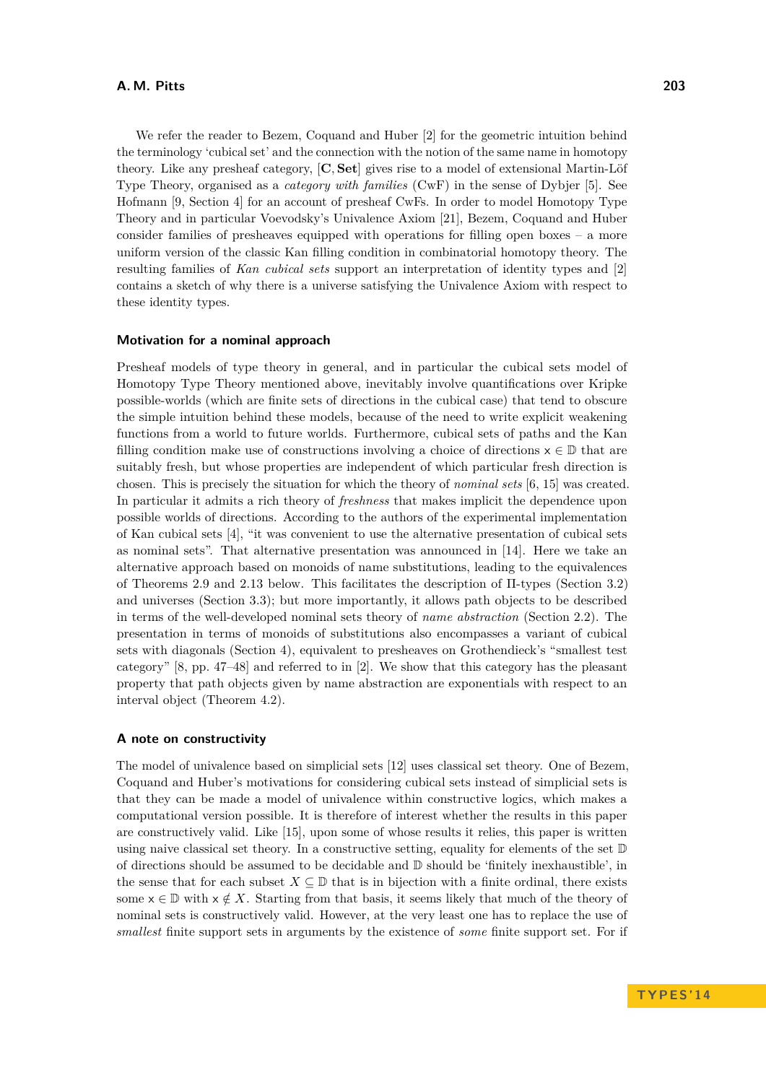#### **A. M. Pitts 203**

We refer the reader to Bezem, Coquand and Huber [\[2\]](#page-17-0) for the geometric intuition behind the terminology 'cubical set' and the connection with the notion of the same name in homotopy theory. Like any presheaf category, [**C***,* **Set**] gives rise to a model of extensional Martin-Löf Type Theory, organised as a *category with families* (CwF) in the sense of Dybjer [\[5\]](#page-17-3). See Hofmann [\[9,](#page-17-4) Section 4] for an account of presheaf CwFs. In order to model Homotopy Type Theory and in particular Voevodsky's Univalence Axiom [\[21\]](#page-18-1), Bezem, Coquand and Huber consider families of presheaves equipped with operations for filling open boxes  $-$  a more uniform version of the classic Kan filling condition in combinatorial homotopy theory. The resulting families of *Kan cubical sets* support an interpretation of identity types and [\[2\]](#page-17-0) contains a sketch of why there is a universe satisfying the Univalence Axiom with respect to these identity types.

#### **Motivation for a nominal approach**

Presheaf models of type theory in general, and in particular the cubical sets model of Homotopy Type Theory mentioned above, inevitably involve quantifications over Kripke possible-worlds (which are finite sets of directions in the cubical case) that tend to obscure the simple intuition behind these models, because of the need to write explicit weakening functions from a world to future worlds. Furthermore, cubical sets of paths and the Kan filling condition make use of constructions involving a choice of directions  $x \in \mathbb{D}$  that are suitably fresh, but whose properties are independent of which particular fresh direction is chosen. This is precisely the situation for which the theory of *nominal sets* [\[6,](#page-17-5) [15\]](#page-17-1) was created. In particular it admits a rich theory of *freshness* that makes implicit the dependence upon possible worlds of directions. According to the authors of the experimental implementation of Kan cubical sets [\[4\]](#page-17-6), "it was convenient to use the alternative presentation of cubical sets as nominal sets". That alternative presentation was announced in [\[14\]](#page-17-7). Here we take an alternative approach based on monoids of name substitutions, leading to the equivalences of Theorems [2.9](#page-4-0) and [2.13](#page-7-0) below. This facilitates the description of Π-types (Section [3.2\)](#page-12-0) and universes (Section [3.3\)](#page-13-0); but more importantly, it allows path objects to be described in terms of the well-developed nominal sets theory of *name abstraction* (Section [2.2\)](#page-7-1). The presentation in terms of monoids of substitutions also encompasses a variant of cubical sets with diagonals (Section [4\)](#page-14-0), equivalent to presheaves on Grothendieck's "smallest test category" [\[8,](#page-17-2) pp. 47–48] and referred to in [\[2\]](#page-17-0). We show that this category has the pleasant property that path objects given by name abstraction are exponentials with respect to an interval object (Theorem [4.2\)](#page-15-0).

#### **A note on constructivity**

The model of univalence based on simplicial sets [\[12\]](#page-17-8) uses classical set theory. One of Bezem, Coquand and Huber's motivations for considering cubical sets instead of simplicial sets is that they can be made a model of univalence within constructive logics, which makes a computational version possible. It is therefore of interest whether the results in this paper are constructively valid. Like [\[15\]](#page-17-1), upon some of whose results it relies, this paper is written using naive classical set theory. In a constructive setting, equality for elements of the set D of directions should be assumed to be decidable and D should be 'finitely inexhaustible', in the sense that for each subset  $X \subseteq \mathbb{D}$  that is in bijection with a finite ordinal, there exists some  $x \in \mathbb{D}$  with  $x \notin X$ . Starting from that basis, it seems likely that much of the theory of nominal sets is constructively valid. However, at the very least one has to replace the use of *smallest* finite support sets in arguments by the existence of *some* finite support set. For if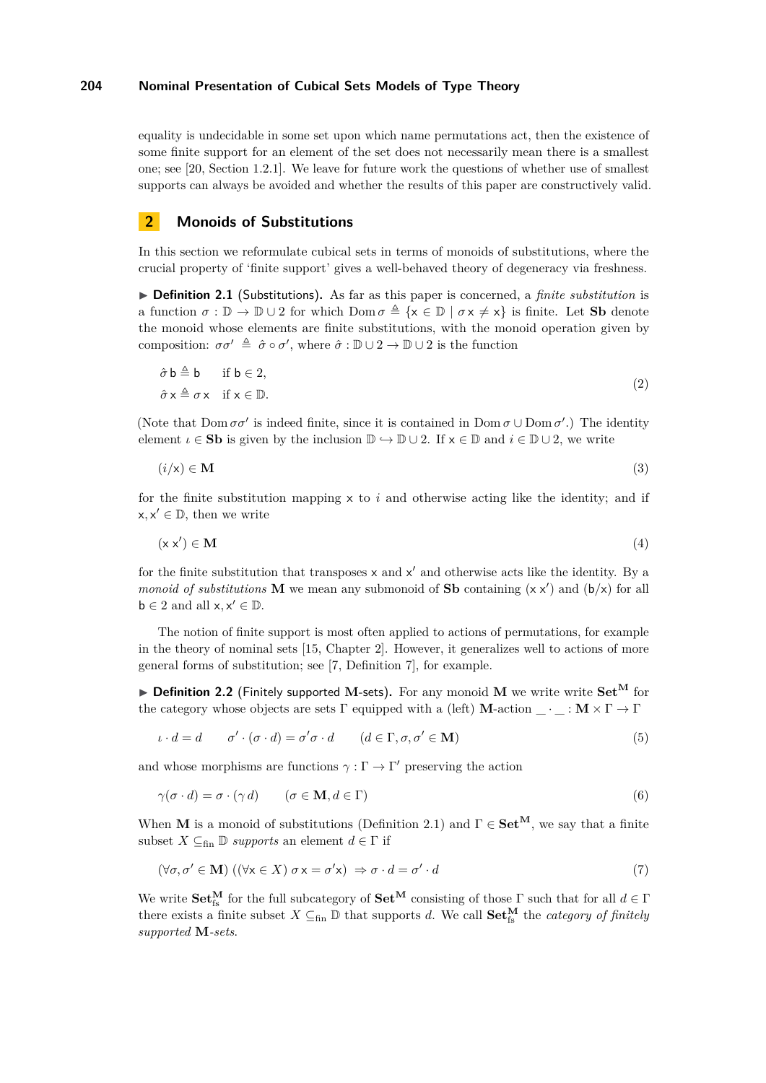equality is undecidable in some set upon which name permutations act, then the existence of some finite support for an element of the set does not necessarily mean there is a smallest one; see [\[20,](#page-18-2) Section 1.2.1]. We leave for future work the questions of whether use of smallest supports can always be avoided and whether the results of this paper are constructively valid.

### <span id="page-2-4"></span>**2 Monoids of Substitutions**

In this section we reformulate cubical sets in terms of monoids of substitutions, where the crucial property of 'finite support' gives a well-behaved theory of degeneracy via freshness.

<span id="page-2-0"></span>▶ **Definition 2.1** (Substitutions). As far as this paper is concerned, a *finite substitution* is a function  $\sigma : \mathbb{D} \to \mathbb{D} \cup 2$  for which  $\text{Dom } \sigma \triangleq \{x \in \mathbb{D} \mid \sigma x \neq x\}$  is finite. Let **Sb** denote the monoid whose elements are finite substitutions, with the monoid operation given by composition:  $\sigma \sigma' \triangleq \hat{\sigma} \circ \sigma'$ , where  $\hat{\sigma} : \mathbb{D} \cup 2 \to \mathbb{D} \cup 2$  is the function

$$
\hat{\sigma} \mathbf{b} \triangleq \mathbf{b} \quad \text{if } \mathbf{b} \in 2,
$$
  
\n
$$
\hat{\sigma} \times \triangleq \sigma \times \quad \text{if } \mathbf{x} \in \mathbb{D}.
$$
\n(2)

(Note that  $Dom \sigma \sigma'$  is indeed finite, since it is contained in  $Dom \sigma \cup Dom \sigma'$ .) The identity element  $\iota \in S$ **b** is given by the inclusion  $\mathbb{D} \hookrightarrow \mathbb{D} \cup 2$ . If  $x \in \mathbb{D}$  and  $i \in \mathbb{D} \cup 2$ , we write

$$
(i/\mathsf{x}) \in \mathbf{M} \tag{3}
$$

for the finite substitution mapping  $\times$  to  $i$  and otherwise acting like the identity; and if  $x, x' \in \mathbb{D}$ , then we write

$$
(\mathbf{x}\,\mathbf{x}') \in \mathbf{M} \tag{4}
$$

for the finite substitution that transposes  $x$  and  $x'$  and otherwise acts like the identity. By a *monoid of substitutions* **M** we mean any submonoid of **Sb** containing  $(x x')$  and  $(b/x)$  for all  $b \in 2$  and all  $x, x' \in \mathbb{D}$ .

The notion of finite support is most often applied to actions of permutations, for example in the theory of nominal sets [\[15,](#page-17-1) Chapter 2]. However, it generalizes well to actions of more general forms of substitution; see [\[7,](#page-17-9) Definition 7], for example.

<span id="page-2-3"></span>▶ Definition 2.2 (Finitely supported M-sets). For any monoid M we write write Set<sup>M</sup> for the category whose objects are sets  $\Gamma$  equipped with a (left) **M**-action  $\cdot \cdot : \mathbf{M} \times \Gamma \to \Gamma$ 

<span id="page-2-2"></span>
$$
\iota \cdot d = d \qquad \sigma' \cdot (\sigma \cdot d) = \sigma' \sigma \cdot d \qquad (d \in \Gamma, \sigma, \sigma' \in \mathbf{M})
$$
 (5)

and whose morphisms are functions  $\gamma : \Gamma \to \Gamma'$  preserving the action

$$
\gamma(\sigma \cdot d) = \sigma \cdot (\gamma d) \qquad (\sigma \in \mathbf{M}, d \in \Gamma) \tag{6}
$$

When **M** is a monoid of substitutions (Definition [2.1\)](#page-2-0) and  $\Gamma \in \mathbf{Set}^{\mathbf{M}}$ , we say that a finite subset  $X \subseteq_{fin} \mathbb{D}$  *supports* an element  $d \in \Gamma$  if

<span id="page-2-1"></span>
$$
(\forall \sigma, \sigma' \in \mathbf{M}) ((\forall x \in X) \sigma x = \sigma' x) \Rightarrow \sigma \cdot d = \sigma' \cdot d \tag{7}
$$

We write  $Set_{fs}^{\mathbf{M}}$  for the full subcategory of  $Set^{\mathbf{M}}$  consisting of those  $\Gamma$  such that for all  $d \in \Gamma$ there exists a finite subset  $X \subseteq_{fin} \mathbb{D}$  that supports *d*. We call  $Set_{fs}^{\mathbf{M}}$  the *category of finitely supported* **M***-sets*.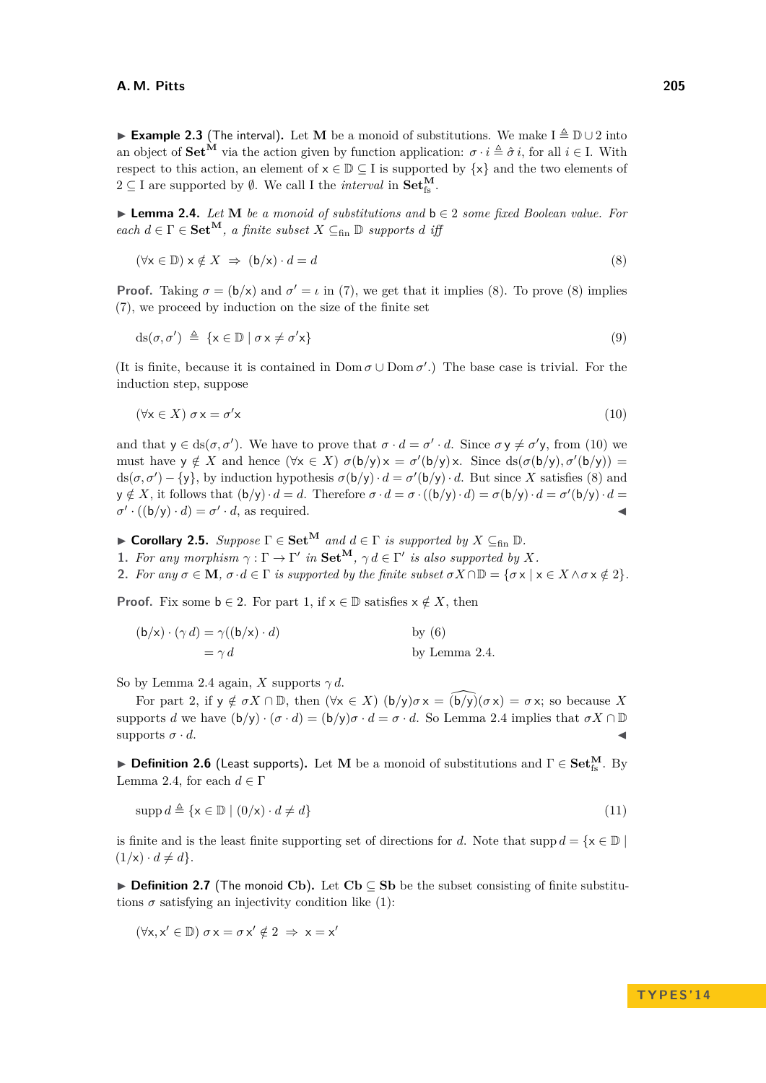<span id="page-3-7"></span>**Example 2.3** (The interval). Let **M** be a monoid of substitutions. We make  $I \triangleq \mathbb{D} \cup 2$  into an object of  $\mathbf{Set}^{\hat{\mathbf{M}}}$  via the action given by function application:  $\sigma \cdot i \triangleq \hat{\sigma} i$ , for all  $i \in I$ . With respect to this action, an element of  $x \in \mathbb{D} \subset I$  is supported by  $\{x\}$  and the two elements of  $2 \subseteq I$  are supported by  $\emptyset$ . We call I the *interval* in  $\textbf{Set}_{fs}^{\textbf{M}}$ .

<span id="page-3-3"></span>I **Lemma 2.4.** *Let* **M** *be a monoid of substitutions and* b ∈ 2 *some fixed Boolean value. For*  $\text{each } d \in \Gamma \in \mathbf{Set}^{\mathbf{M}}, \text{ a finite subset } X \subseteq_{\text{fin}} \mathbb{D} \text{ supports } d \text{ iff }$ 

<span id="page-3-0"></span>
$$
(\forall x \in \mathbb{D}) \ x \notin X \ \Rightarrow \ (b/x) \cdot d = d \tag{8}
$$

**Proof.** Taking  $\sigma = (\mathbf{b}/\mathbf{x})$  and  $\sigma' = \iota$  in [\(7\)](#page-2-1), we get that it implies [\(8\)](#page-3-0). To prove (8) implies [\(7\)](#page-2-1), we proceed by induction on the size of the finite set

$$
ds(\sigma, \sigma') \triangleq \{x \in \mathbb{D} \mid \sigma x \neq \sigma' x\} \tag{9}
$$

(It is finite, because it is contained in  $Dom \sigma \cup Dom \sigma'$ .) The base case is trivial. For the induction step, suppose

<span id="page-3-1"></span>
$$
(\forall x \in X) \sigma x = \sigma' x \tag{10}
$$

and that  $y \in ds(\sigma, \sigma')$ . We have to prove that  $\sigma \cdot d = \sigma' \cdot d$ . Since  $\sigma y \neq \sigma' y$ , from [\(10\)](#page-3-1) we must have  $y \notin X$  and hence  $(\forall x \in X)$   $\sigma(b/y) x = \sigma'(b/y) x$ . Since  $ds(\sigma(b/y), \sigma'(b/y)) =$  $ds(\sigma, \sigma') - \{y\}$ , by induction hypothesis  $\sigma(b/y) \cdot d = \sigma'(b/y) \cdot d$ . But since *X* satisfies [\(8\)](#page-3-0) and  $\mathbf{y} \notin X$ , it follows that  $(\mathbf{b}/\mathbf{y}) \cdot d = d$ . Therefore  $\sigma \cdot d = \sigma \cdot ((\mathbf{b}/\mathbf{y}) \cdot d) = \sigma(\mathbf{b}/\mathbf{y}) \cdot d = \sigma'(\mathbf{b}/\mathbf{y}) \cdot d =$  $\sigma' \cdot ((b/y) \cdot d) = \sigma' \cdot d$ , as required.

<span id="page-3-5"></span>► **Corollary 2.5.** *Suppose*  $\Gamma \in \mathbf{Set}^{\mathbf{M}}$  *and*  $d \in \Gamma$  *is supported by*  $X \subseteq_{fin} \mathbb{D}$ *.* 

<span id="page-3-2"></span>**1.** For any morphism  $\gamma : \Gamma \to \Gamma'$  in  $\mathbf{Set}^{\mathbf{M}}, \gamma d \in \Gamma'$  is also supported by X.

<span id="page-3-4"></span>**2.** *For any*  $\sigma \in \mathbf{M}$ *,*  $\sigma \cdot d \in \Gamma$  *is supported by the finite subset*  $\sigma X \cap \mathbb{D} = {\sigma \times | \times \in X \wedge \sigma \times \notin 2}$ *.* 

**Proof.** Fix some  $b \in 2$ . For part [1,](#page-3-2) if  $x \in \mathbb{D}$  satisfies  $x \notin X$ , then

| $(b/x) \cdot (\gamma d) = \gamma((b/x) \cdot d)$ | by $(6)$      |
|--------------------------------------------------|---------------|
| $= \gamma d$                                     | by Lemma 2.4. |

So by Lemma [2.4](#page-3-3) again, *X* supports  $\gamma d$ .

For part [2,](#page-3-4) if  $y \notin \sigma X \cap \mathbb{D}$ , then  $(\forall x \in X)$   $(b/y)\sigma x = (b/y)(\sigma x) = \sigma x$ ; so because X supports *d* we have  $(b/y) \cdot (\sigma \cdot d) = (b/y) \sigma \cdot d = \sigma \cdot d$ . So Lemma [2.4](#page-3-3) implies that  $\sigma X \cap \mathbb{D}$ supports  $\sigma \cdot d$ .

<span id="page-3-6"></span>**▶ Definition 2.6** (Least supports). Let **M** be a monoid of substitutions and  $\Gamma \in \mathbf{Set}_{fs}^{\mathbf{M}}$ . By Lemma [2.4,](#page-3-3) for each  $d \in \Gamma$ 

$$
\operatorname{supp} d \triangleq \{ \mathbf{x} \in \mathbb{D} \mid (0/\mathbf{x}) \cdot d \neq d \}
$$
\n
$$
(11)
$$

is finite and is the least finite supporting set of directions for *d*. Note that supp  $d = \{x \in \mathbb{D} \mid$  $(1/x) \cdot d \neq d$ .

I **Definition 2.7** (The monoid **Cb**)**.** Let **Cb** ⊆ **Sb** be the subset consisting of finite substitutions  $\sigma$  satisfying an injectivity condition like [\(1\)](#page-0-0):

 $(\forall x, x' \in \mathbb{D}) \sigma x = \sigma x' \notin 2 \implies x = x'$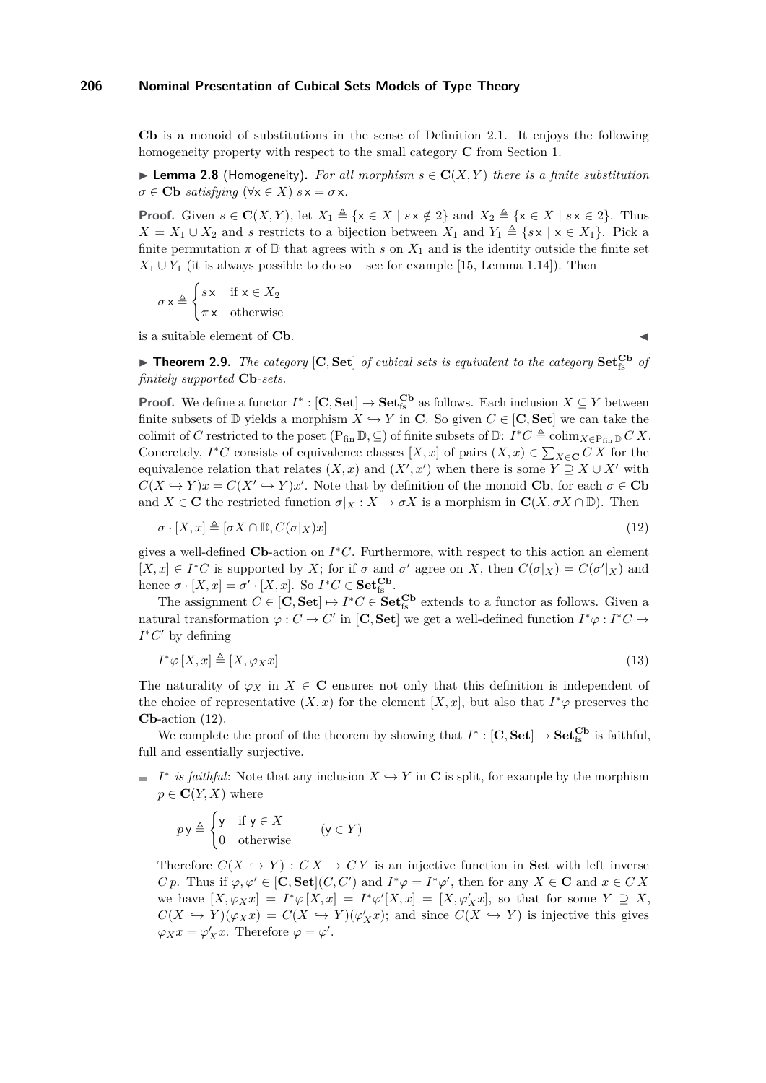**Cb** is a monoid of substitutions in the sense of Definition [2.1.](#page-2-0) It enjoys the following homogeneity property with respect to the small category **C** from Section [1.](#page-0-1)

<span id="page-4-3"></span> $\blacktriangleright$  **Lemma 2.8** (Homogeneity). For all morphism  $s \in \mathbb{C}(X, Y)$  there is a finite substitution  $\sigma \in$  **Cb** *satisfying* ( $\forall$ **x**  $\in$  *X*) *s* **x** =  $\sigma$ **x***.* 

**Proof.** Given  $s \in \mathbb{C}(X, Y)$ , let  $X_1 \triangleq \{x \in X \mid s \times \notin 2\}$  and  $X_2 \triangleq \{x \in X \mid s \times \in 2\}$ . Thus  $X = X_1 \oplus X_2$  and *s* restricts to a bijection between  $X_1$  and  $Y_1 \triangleq \{sx \mid x \in X_1\}$ . Pick a finite permutation  $\pi$  of  $\mathbb D$  that agrees with *s* on  $X_1$  and is the identity outside the finite set  $X_1 \cup Y_1$  (it is always possible to do so – see for example [\[15,](#page-17-1) Lemma 1.14]). Then

$$
\sigma \times \triangleq \begin{cases} s \times & \text{if } \mathsf{x} \in X_2 \\ \pi \times & \text{otherwise} \end{cases}
$$

is a suitable element of  $Cb$ .

<span id="page-4-1"></span>

<span id="page-4-0"></span> $\blacktriangleright$  **Theorem 2.9.** *The category* [C, Set] *of cubical sets is equivalent to the category* Set<sup>Cb</sup> *of finitely supported* **Cb***-sets.*

**Proof.** We define a functor  $I^* : [\mathbf{C}, \mathbf{Set}] \to \mathbf{Set}_{\text{fs}}^{\mathbf{Cb}}$  as follows. Each inclusion  $X \subseteq Y$  between finite subsets of  $\mathbb{D}$  yields a morphism  $X \hookrightarrow Y$  in **C**. So given  $C \in [\mathbb{C}, \mathbb{S}et]$  we can take the colimit of *C* restricted to the poset  $(P_{fin} \mathbb{D}, \subseteq)$  of finite subsets of  $\mathbb{D}$ :  $I^*C \triangleq \text{colim}_{X \in P_{fin} \mathbb{D}} C X$ . Concretely,  $I^*C$  consists of equivalence classes  $[X, x]$  of pairs  $(X, x) \in \sum_{X \in \mathbf{C}} C X$  for the equivalence relation that relates  $(X, x)$  and  $(X', x')$  when there is some  $Y \supseteq X \cup X'$  with  $C(X \hookrightarrow Y)x = C(X' \hookrightarrow Y)x'$ . Note that by definition of the monoid **Cb**, for each  $\sigma \in \mathbf{Cb}$ and  $X \in \mathbf{C}$  the restricted function  $\sigma|_X : X \to \sigma X$  is a morphism in  $\mathbf{C}(X, \sigma X \cap \mathbb{D})$ . Then

$$
\sigma \cdot [X, x] \triangleq [\sigma X \cap \mathbb{D}, C(\sigma |_{X})x]
$$
\n
$$
(12)
$$

gives a well-defined **Cb**-action on *I* <sup>∗</sup>*C*. Furthermore, with respect to this action an element  $[X, x] \in I^*C$  is supported by *X*; for if  $\sigma$  and  $\sigma'$  agree on *X*, then  $C(\sigma|_X) = C(\sigma'|_X)$  and hence  $\sigma \cdot [X, x] = \sigma' \cdot [X, x]$ . So  $I^*C \in \mathbf{Set}_{\text{fs}}^{\mathbf{Cb}}$ .

The assignment  $C \in [\mathbf{C}, \mathbf{Set}] \mapsto I^*C \in \mathbf{Set}_{fs}^{\mathbf{Cb}}$  extends to a functor as follows. Given a natural transformation  $\varphi : C \to C'$  in [C, Set] we get a well-defined function  $I^*\varphi : I^*C \to C'$  $I^*C'$  by defining

<span id="page-4-2"></span>
$$
I^*\varphi\left[X,x\right] \triangleq \left[X,\varphi_Xx\right] \tag{13}
$$

The naturality of  $\varphi_X$  in  $X \in \mathbb{C}$  ensures not only that this definition is independent of the choice of representative  $(X, x)$  for the element  $[X, x]$ , but also that  $I^*\varphi$  preserves the **Cb**-action [\(12\)](#page-4-1).

We complete the proof of the theorem by showing that  $I^* : [\mathbf{C}, \mathbf{Set}] \to \mathbf{Set}_{fs}^{\mathbf{Cb}}$  is faithful, full and essentially surjective.

*I*<sup>\*</sup> *is faithful*: Note that any inclusion  $X \hookrightarrow Y$  in **C** is split, for example by the morphism  $p \in \mathbf{C}(Y, X)$  where

$$
py \triangleq \begin{cases} y & \text{if } y \in X \\ 0 & \text{otherwise} \end{cases} \qquad (y \in Y)
$$

Therefore  $C(X \hookrightarrow Y) : CX \rightarrow CY$  is an injective function in **Set** with left inverse *C p*. Thus if  $\varphi, \varphi' \in [\mathbf{C}, \mathbf{Set}](C, C')$  and  $I^*\varphi = I^*\varphi'$ , then for any  $X \in \mathbf{C}$  and  $x \in C X$ we have  $[X, \varphi_X x] = I^* \varphi [X, x] = I^* \varphi'[X, x] = [X, \varphi'_X x]$ , so that for some  $Y \supseteq X$ ,  $C(X \hookrightarrow Y)(\varphi_X x) = C(X \hookrightarrow Y)(\varphi'_X x)$ ; and since  $C(X \hookrightarrow Y)$  is injective this gives  $\varphi_X x = \varphi'_X x$ . Therefore  $\varphi = \varphi'$ .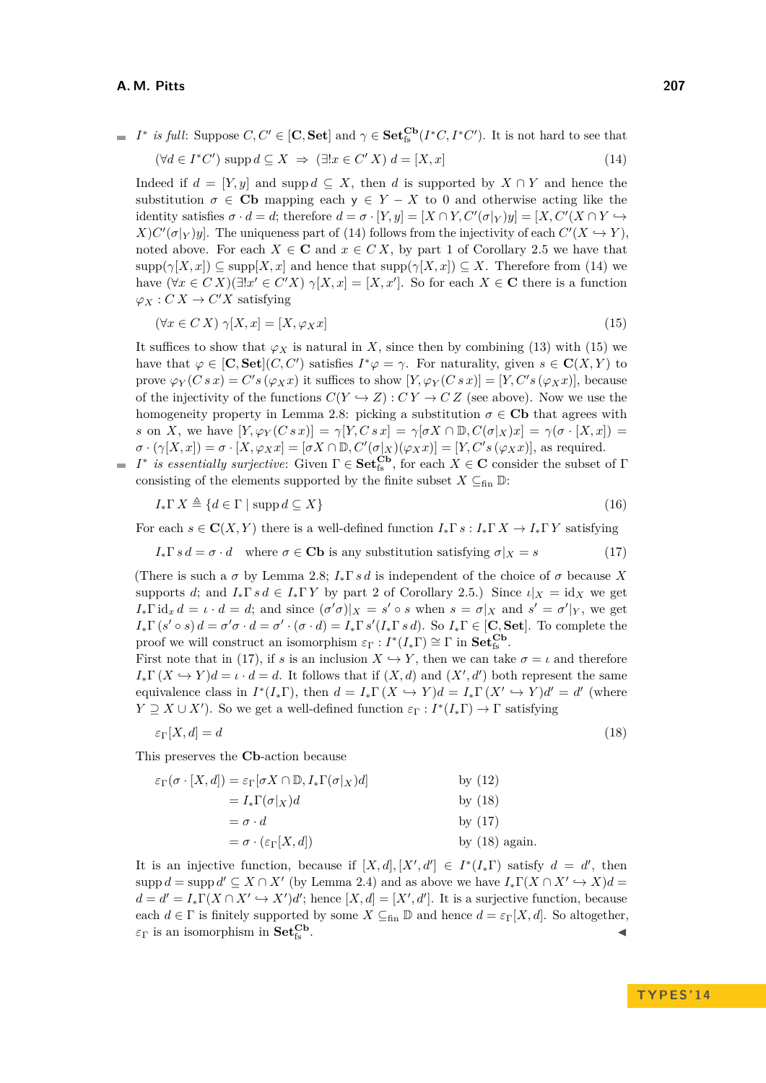<span id="page-5-0"></span>*I*<sup>\*</sup> *is full*: Suppose  $C, C' \in [\mathbf{C}, \mathbf{Set}]$  and  $\gamma \in \mathbf{Set}_{fs}^{\mathbf{Cb}}(I^*C, I^*C')$ . It is not hard to see that

$$
(\forall d \in I^*C') \text{ supp } d \subseteq X \implies (\exists! x \in C' X) d = [X, x]
$$
\n
$$
(14)
$$

Indeed if  $d = [Y, y]$  and supp  $d \subseteq X$ , then *d* is supported by  $X \cap Y$  and hence the substitution  $\sigma \in$  **Cb** mapping each  $y \in Y - X$  to 0 and otherwise acting like the identity satisfies  $\sigma \cdot d = d$ ; therefore  $d = \sigma \cdot [Y, y] = [X \cap Y, C'(\sigma|_Y)y] = [X, C'(X \cap Y \hookrightarrow$  $X$ ) $C'(\sigma|_Y)y$ . The uniqueness part of [\(14\)](#page-5-0) follows from the injectivity of each  $C'(X \hookrightarrow Y)$ , noted above. For each  $X \in \mathbb{C}$  and  $x \in CX$ , by part [1](#page-3-2) of Corollary [2.5](#page-3-5) we have that  $\text{supp}(\gamma[X,x]) \subseteq \text{supp}[X,x]$  and hence that  $\text{supp}(\gamma[X,x]) \subseteq X$ . Therefore from [\(14\)](#page-5-0) we have  $(\forall x \in C X)(\exists ! x' \in C'X) \gamma[X, x] = [X, x']$ . So for each  $X \in \mathbb{C}$  there is a function  $\varphi_X : C X \to C' X$  satisfying

<span id="page-5-1"></span>
$$
(\forall x \in C X) \ \gamma[X, x] = [X, \varphi_X x] \tag{15}
$$

It suffices to show that  $\varphi_X$  is natural in *X*, since then by combining [\(13\)](#page-4-2) with [\(15\)](#page-5-1) we have that  $\varphi \in [\mathbf{C}, \mathbf{Set}](C, C')$  satisfies  $I^*\varphi = \gamma$ . For naturality, given  $s \in \mathbf{C}(X, Y)$  to prove  $\varphi_Y(C \, s \, x) = C' s (\varphi_X x)$  it suffices to show  $[Y, \varphi_Y(C \, s \, x)] = [Y, C' s (\varphi_X x)],$  because of the injectivity of the functions  $C(Y \hookrightarrow Z) : CY \to CZ$  (see above). Now we use the homogeneity property in Lemma [2.8:](#page-4-3) picking a substitution  $\sigma \in \mathbf{C}\mathbf{b}$  that agrees with *s* on *X*, we have  $[Y, \varphi_Y(C \, s \, x)] = \gamma[Y, C \, s \, x] = \gamma[\sigma X \cap \mathbb{D}, C(\sigma | X) \, x] = \gamma(\sigma \cdot [X, x]) =$  $\sigma \cdot (\gamma[X,x]) = \sigma \cdot [X,\varphi_X x] = [\sigma X \cap \mathbb{D}, C'(\sigma|_X)(\varphi_X x)] = [Y, C's(\varphi_X x)],$  as required.

*I*<sup>∗</sup> *is essentially surjective:* Given Γ ∈ **Set**<sup>**Cb**</sup><sub>**fs**</sub>, for each *X* ∈ **C** consider the subset of Γ consisting of the elements supported by the finite subset  $X \subseteq_{fin} \mathbb{D}$ :

<span id="page-5-2"></span>
$$
I_* \Gamma \, X \triangleq \{ d \in \Gamma \mid \operatorname{supp} d \subseteq X \} \tag{16}
$$

For each  $s \in \mathbf{C}(X, Y)$  there is a well-defined function  $I_*\Gamma s : I_*\Gamma X \to I_*\Gamma Y$  satisfying

 $I_* \Gamma s d = \sigma \cdot d$  where  $\sigma \in \mathbf{Cb}$  is any substitution satisfying  $\sigma|_X = s$  (17)

(There is such a  $\sigma$  by Lemma [2.8;](#page-4-3)  $I_*\Gamma s d$  is independent of the choice of  $\sigma$  because X supports *d*; and  $I_* \Gamma s d \in I_* \Gamma Y$  by part [2](#page-3-4) of Corollary [2.5.](#page-3-5)) Since  $\iota|_X = id_X$  we get  $I_*\Gamma \mathrm{id}_x d = \iota \cdot d = d$ ; and since  $(\sigma' \sigma)|_X = s' \circ s$  when  $s = \sigma|_X$  and  $s' = \sigma'|_Y$ , we get  $I_*\Gamma(s' \circ s) d = \sigma' \sigma \cdot d = \sigma' \cdot (\sigma \cdot d) = I_*\Gamma s' (I_*\Gamma s d)$ . So  $I_*\Gamma \in [\mathbf{C}, \mathbf{Set}]$ . To complete the proof we will construct an isomorphism  $\varepsilon_{\Gamma}: I^*(I_*\Gamma) \cong \Gamma$  in  $\mathbf{Set}^{\mathbf{Cb}}_{\mathbf{fs}}$ .

First note that in [\(17\)](#page-5-2), if *s* is an inclusion  $X \hookrightarrow Y$ , then we can take  $\sigma = \iota$  and therefore  $I_*\Gamma(X \hookrightarrow Y)d = \iota \cdot d = d.$  It follows that if  $(X, d)$  and  $(X', d')$  both represent the same equivalence class in  $I^*(I_*\Gamma)$ , then  $d = I_*\Gamma(X \hookrightarrow Y)d = I_*\Gamma(X' \hookrightarrow Y)d' = d'$  (where  $Y \supseteq X \cup X'$ ). So we get a well-defined function  $\varepsilon_{\Gamma}: I^*(I_*\Gamma) \to \Gamma$  satisfying

<span id="page-5-3"></span>
$$
\varepsilon_{\Gamma}[X, d] = d \tag{18}
$$

This preserves the **Cb**-action because

$$
\varepsilon_{\Gamma}(\sigma \cdot [X, d]) = \varepsilon_{\Gamma}[\sigma X \cap \mathbb{D}, I_* \Gamma(\sigma | X) d] \qquad \text{by (12)}
$$
  
\n
$$
= I_* \Gamma(\sigma | X) d \qquad \text{by (18)}
$$
  
\n
$$
= \sigma \cdot d \qquad \text{by (17)}
$$
  
\n
$$
= \sigma \cdot (\varepsilon_{\Gamma}[X, d]) \qquad \text{by (18) again.}
$$

It is an injective function, because if  $[X, d], [X', d'] \in I^*(I_*\Gamma)$  satisfy  $d = d'$ , then  $\sup p d = \sup p d' \subseteq X \cap X'$  (by Lemma [2.4\)](#page-3-3) and as above we have  $I_*\Gamma(X \cap X' \hookrightarrow X)d =$  $d = d' = I_* \Gamma(X \cap X' \hookrightarrow X')d'$ ; hence  $[X, d] = [X', d']$ . It is a surjective function, because each  $d \in \Gamma$  is finitely supported by some  $X \subseteq_{fin} \mathbb{D}$  and hence  $d = \varepsilon_{\Gamma}[X, d]$ . So altogether,  $\varepsilon_{\Gamma}$  is an isomorphism in **Set**<sup>*Cb*</sup><sub>*fs</sub></sub>.</sub>*  $\mathcal{C}_{\text{fs}}$  .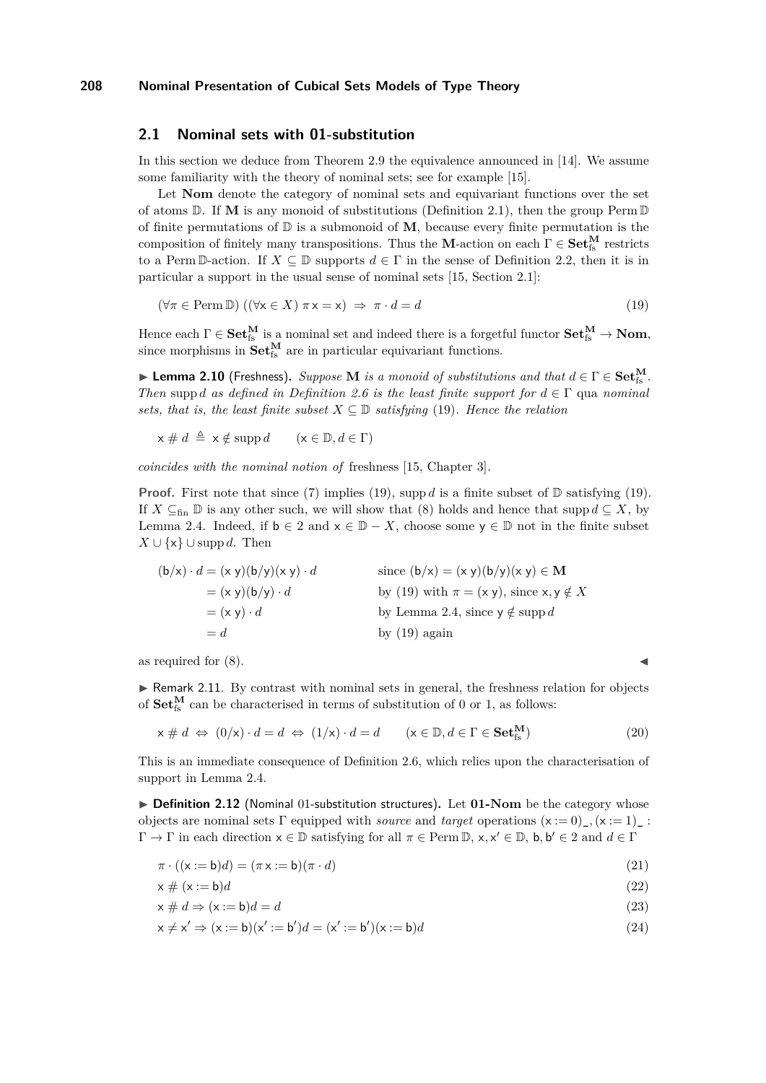### <span id="page-6-6"></span>**2.1 Nominal sets with 01-substitution**

In this section we deduce from Theorem [2.9](#page-4-0) the equivalence announced in [\[14\]](#page-17-7). We assume some familiarity with the theory of nominal sets; see for example [\[15\]](#page-17-1).

Let **Nom** denote the category of nominal sets and equivariant functions over the set of atoms  $\mathbb{D}$ . If **M** is any monoid of substitutions (Definition [2.1\)](#page-2-0), then the group Perm  $\mathbb{D}$ of finite permutations of  $\mathbb{D}$  is a submonoid of **M**, because every finite permutation is the composition of finitely many transpositions. Thus the **M**-action on each  $\Gamma \in \mathbf{Set}_{fs}^{\mathbf{M}}$  restricts to a Perm D-action. If  $X \subseteq \mathbb{D}$  supports  $d \in \Gamma$  in the sense of Definition [2.2,](#page-2-3) then it is in particular a support in the usual sense of nominal sets [\[15,](#page-17-1) Section 2.1]:

<span id="page-6-0"></span>
$$
(\forall \pi \in \text{Perm D}) \ ((\forall x \in X) \ \pi \times x) \ \Rightarrow \ \pi \cdot d = d \tag{19}
$$

Hence each  $\Gamma \in \mathbf{Set}^{\mathbf{M}}_{\text{fs}}$  is a nominal set and indeed there is a forgetful functor  $\mathbf{Set}^{\mathbf{M}}_{\text{fs}} \to \mathbf{Nom}$ , since morphisms in  $\textbf{Set}_{fs}^{\textbf{M}}$  are in particular equivariant functions.

<span id="page-6-3"></span> $\blacktriangleright$  Lemma 2.10 (Freshness). *Suppose* **M** *is a monoid of substitutions and that*  $d \in \Gamma \in \mathbf{Set^M_{fs}}$ . *Then* supp *d as defined in Definition* [2.6](#page-3-6) *is the least finite support for*  $d \in \Gamma$  qua *nominal sets, that is, the least finite subset*  $X \subseteq \mathbb{D}$  *satisfying* [\(19\)](#page-6-0)*. Hence the relation* 

 $x \neq d \triangleq x \notin \operatorname{supp} d$  ( $x \in \mathbb{D}, d \in \Gamma$ )

*coincides with the nominal notion of* freshness [\[15,](#page-17-1) Chapter 3]*.*

**Proof.** First note that since [\(7\)](#page-2-1) implies [\(19\)](#page-6-0), supp *d* is a finite subset of  $\mathbb{D}$  satisfying (19). If  $X \subseteq_{fin} \mathbb{D}$  is any other such, we will show that [\(8\)](#page-3-0) holds and hence that supp  $d \subseteq X$ , by Lemma [2.4.](#page-3-3) Indeed, if  $b \in 2$  and  $x \in \mathbb{D} - X$ , choose some  $y \in \mathbb{D}$  not in the finite subset *X* ∪ { $\mathsf{x}$ } ∪ supp *d*. Then

$$
(\mathsf{b}/\mathsf{x}) \cdot d = (\mathsf{x} \ y)(\mathsf{b}/\mathsf{y})(\mathsf{x} \ y) \cdot d \qquad \text{since } (\mathsf{b}/\mathsf{x}) = (\mathsf{x} \ y)(\mathsf{b}/\mathsf{y})(\mathsf{x} \ y) \in \mathbf{M} \n= (\mathsf{x} \ y)(\mathsf{b}/\mathsf{y}) \cdot d \qquad \text{by (19) with } \pi = (\mathsf{x} \ y), \text{ since } \mathsf{x}, \mathsf{y} \notin X \n= (\mathsf{x} \ y) \cdot d \qquad \text{by Lemma 2.4, since } \mathsf{y} \notin \text{supp } d \n= d \qquad \qquad \text{by (19) again}
$$

as required for  $(8)$ .

 $\triangleright$  Remark 2.11. By contrast with nominal sets in general, the freshness relation for objects of  $\textbf{Set}_{fs}^{\textbf{M}}$  can be characterised in terms of substitution of 0 or 1, as follows:

$$
\mathbf{x} \neq d \Leftrightarrow (0/\mathbf{x}) \cdot d = d \Leftrightarrow (1/\mathbf{x}) \cdot d = d \qquad (\mathbf{x} \in \mathbb{D}, d \in \Gamma \in \mathbf{Set}_{\mathrm{fs}}^{\mathbf{M}})
$$
(20)

This is an immediate consequence of Definition [2.6,](#page-3-6) which relies upon the characterisation of support in Lemma [2.4.](#page-3-3)

▶ Definition 2.12 (Nominal 01-substitution structures). Let 01-Nom be the category whose objects are nominal sets  $\Gamma$  equipped with *source* and *target* operations  $(x := 0)$ <sub>-</sub>,  $(x := 1)$ <sub>-</sub>:  $\Gamma \to \Gamma$  in each direction  $x \in \mathbb{D}$  satisfying for all  $\pi \in \text{Perm}\,\mathbb{D}$ ,  $x, x' \in \mathbb{D}$ ,  $b, b' \in 2$  and  $d \in \Gamma$ 

$$
\pi \cdot ((\mathbf{x} := \mathbf{b})d) = (\pi \mathbf{x} := \mathbf{b})(\pi \cdot d) \tag{21}
$$

<span id="page-6-4"></span><span id="page-6-2"></span><span id="page-6-1"></span>
$$
x \neq (x := b)d \tag{22}
$$

$$
x \# d \Rightarrow (x := b)d = d \tag{23}
$$

<span id="page-6-5"></span>
$$
x \neq x' \Rightarrow (x := b)(x' := b')d = (x' := b')(x := b)d
$$
\n
$$
(24)
$$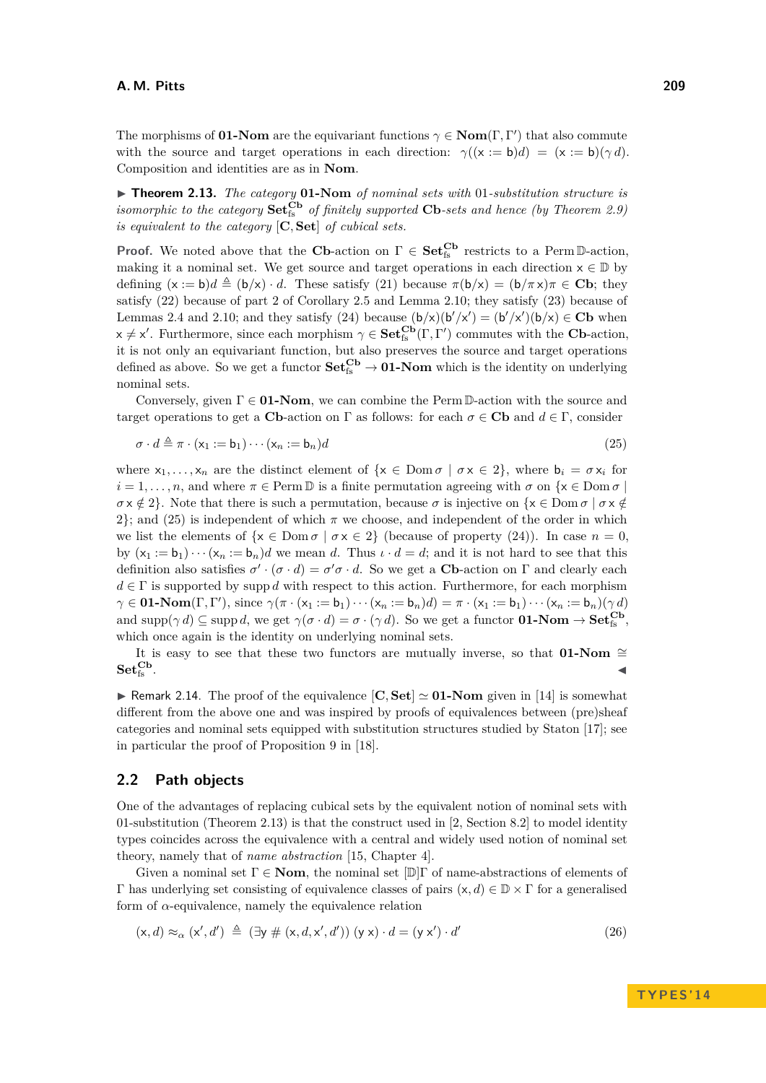The morphisms of **01-Nom** are the equivariant functions  $\gamma \in \text{Nom}(\Gamma, \Gamma')$  that also commute with the source and target operations in each direction:  $\gamma((x := b)d) = (x := b)(\gamma d)$ . Composition and identities are as in **Nom**.

<span id="page-7-0"></span>▶ **Theorem 2.13.** *The category* **01-Nom** *of nominal sets with* 01*-substitution structure is isomorphic to the category*  $\mathbf{Set}_{fs}^{\mathbf{Cb}}$  *of finitely supported*  $\mathbf{Cb}\text{-}sets$  *and hence* (by Theorem [2.9\)](#page-4-0) *is equivalent to the category* [**C***,* **Set**] *of cubical sets.*

**Proof.** We noted above that the **Cb**-action on  $\Gamma \in \mathbf{Set}_{fs}^{Cb}$  restricts to a Perm D-action, making it a nominal set. We get source and target operations in each direction  $x \in \mathbb{D}$  by defining  $(x := b)d \triangleq (b/x) \cdot d$ . These satisfy [\(21\)](#page-6-1) because  $\pi(b/x) = (b/\pi x)\pi \in \mathbb{C}\mathbb{b}$ ; they satisfy [\(22\)](#page-6-2) because of part [2](#page-3-4) of Corollary [2.5](#page-3-5) and Lemma [2.10;](#page-6-3) they satisfy [\(23\)](#page-6-4) because of Lemmas [2.4](#page-3-3) and [2.10;](#page-6-3) and they satisfy [\(24\)](#page-6-5) because  $(b/x)(b'/x') = (b'/x')(b/x) \in \mathbf{Cb}$  when  $x \neq x'$ . Furthermore, since each morphism  $\gamma \in \mathbf{Set}_{fs}^{\mathbf{Cb}}(\Gamma,\Gamma')$  commutes with the **Cb**-action, it is not only an equivariant function, but also preserves the source and target operations defined as above. So we get a functor  $\mathbf{Set}_{fs}^{\mathbf{Cb}} \to \mathbf{01}\text{-}\mathbf{Nom}$  which is the identity on underlying nominal sets.

Conversely, given  $\Gamma \in \mathbf{01}\text{-}\mathbf{Nom}$ , we can combine the Perm D-action with the source and target operations to get a **Cb**-action on Γ as follows: for each  $\sigma \in \mathbf{Cb}$  and  $d \in \Gamma$ , consider

<span id="page-7-2"></span>
$$
\sigma \cdot d \triangleq \pi \cdot (\mathsf{x}_1 := \mathsf{b}_1) \cdots (\mathsf{x}_n := \mathsf{b}_n) d \tag{25}
$$

where  $x_1, \ldots, x_n$  are the distinct element of  $\{x \in \text{Dom }\sigma \mid \sigma x \in 2\}$ , where  $b_i = \sigma x_i$  for  $i = 1, \ldots, n$ , and where  $\pi \in \text{Perm } \mathbb{D}$  is a finite permutation agreeing with  $\sigma$  on  $\{x \in \text{Dom } \sigma \mid \sigma\}$  $\sigma \times \notin 2$ . Note that there is such a permutation, because  $\sigma$  is injective on  $\{x \in \text{Dom }\sigma \mid \sigma x \notin \mathcal{C}\}$ 2}; and [\(25\)](#page-7-2) is independent of which  $\pi$  we choose, and independent of the order in which we list the elements of  $\{x \in \text{Dom }\sigma \mid \sigma x \in 2\}$  (because of property [\(24\)](#page-6-5)). In case  $n = 0$ , by  $(x_1 := b_1) \cdots (x_n := b_n) d$  we mean *d*. Thus  $\iota \cdot d = d$ ; and it is not hard to see that this definition also satisfies  $\sigma' \cdot (\sigma \cdot d) = \sigma' \sigma \cdot d$ . So we get a **Cb**-action on  $\Gamma$  and clearly each  $d \in \Gamma$  is supported by supp *d* with respect to this action. Furthermore, for each morphism  $\gamma \in \mathbf{0}\mathbf{1}\text{-}\mathbf{Nom}(\Gamma,\Gamma'), \text{ since } \gamma(\pi \cdot (\mathsf{x}_1 := \mathsf{b}_1) \cdots (\mathsf{x}_n := \mathsf{b}_n)d) = \pi \cdot (\mathsf{x}_1 := \mathsf{b}_1) \cdots (\mathsf{x}_n := \mathsf{b}_n)(\gamma d)$ and  $\text{supp}(\gamma d) \subseteq \text{supp } d$ , we get  $\gamma(\sigma \cdot d) = \sigma \cdot (\gamma d)$ . So we get a functor **01-Nom**  $\rightarrow$  **Set**<sup>Cb</sup><sub>fs</sub></sub>, which once again is the identity on underlying nominal sets.

It is easy to see that these two functors are mutually inverse, so that **01-Nom**  $\cong$  $Set_{fs}^{Cb}$ .  $\mathcal{L}_{\text{fs}}$  .

**If Remark 2.14.** The proof of the equivalence  $[\mathbf{C}, \mathbf{Set}] \simeq 01$ -Nom given in [\[14\]](#page-17-7) is somewhat different from the above one and was inspired by proofs of equivalences between (pre)sheaf categories and nominal sets equipped with substitution structures studied by Staton [\[17\]](#page-18-3); see in particular the proof of Proposition 9 in [\[18\]](#page-18-4).

### <span id="page-7-1"></span>**2.2 Path objects**

One of the advantages of replacing cubical sets by the equivalent notion of nominal sets with 01-substitution (Theorem [2.13\)](#page-7-0) is that the construct used in [\[2,](#page-17-0) Section 8.2] to model identity types coincides across the equivalence with a central and widely used notion of nominal set theory, namely that of *name abstraction* [\[15,](#page-17-1) Chapter 4].

Given a nominal set  $\Gamma \in \mathbf{Nom}$ , the nominal set  $[\mathbb{D}]\Gamma$  of name-abstractions of elements of Γ has underlying set consisting of equivalence classes of pairs (x*, d*) ∈ D × Γ for a generalised form of  $\alpha$ -equivalence, namely the equivalence relation

<span id="page-7-3"></span>
$$
(\mathsf{x}, d) \approx_{\alpha} (\mathsf{x}', d') \triangleq (\exists \mathsf{y} \# (\mathsf{x}, d, \mathsf{x}', d')) (\mathsf{y} \mathsf{x}) \cdot d = (\mathsf{y} \mathsf{x}') \cdot d' \tag{26}
$$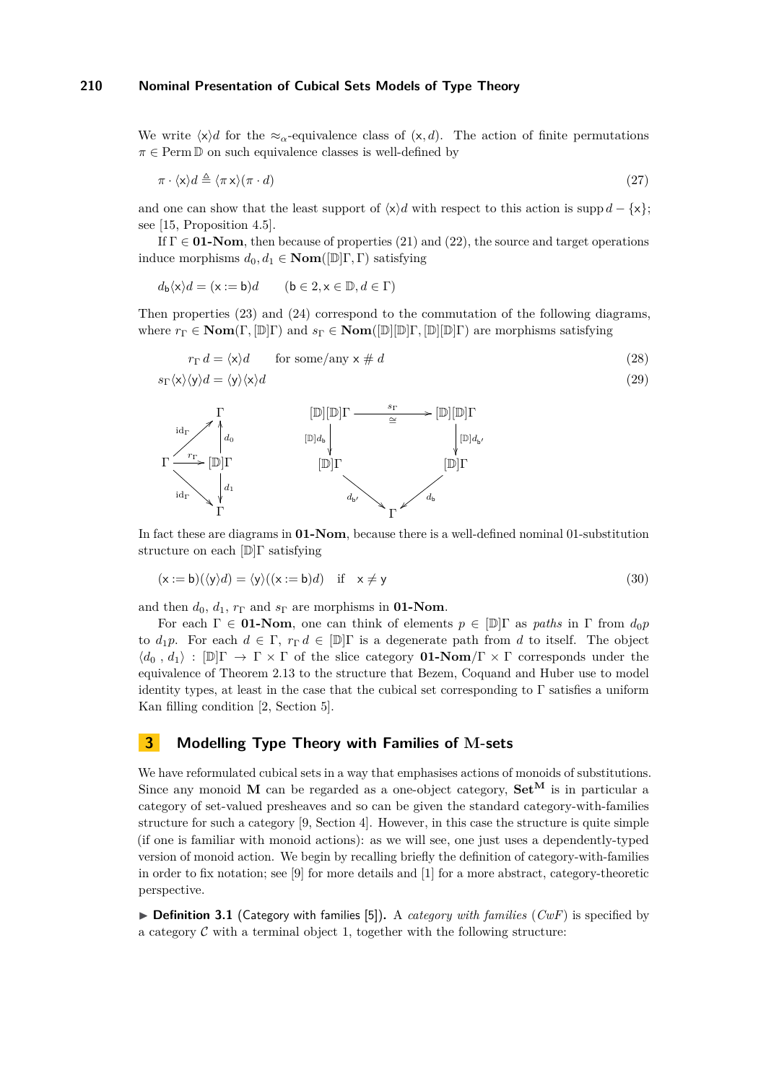We write  $\langle x \rangle$ *d* for the  $\approx_{\alpha}$ -equivalence class of  $(x, d)$ . The action of finite permutations  $\pi \in \text{Perm} \mathbb{D}$  on such equivalence classes is well-defined by

$$
\pi \cdot \langle \mathbf{x} \rangle d \triangleq \langle \pi \mathbf{x} \rangle (\pi \cdot d) \tag{27}
$$

and one can show that the least support of  $\langle x \rangle d$  with respect to this action is supp  $d - \{x\}$ ; see [\[15,](#page-17-1) Proposition 4.5].

If  $\Gamma \in \mathbf{01}\text{-}\mathbf{Nom}$ , then because of properties [\(21\)](#page-6-1) and [\(22\)](#page-6-2), the source and target operations induce morphisms  $d_0, d_1 \in \textbf{Nom}([\mathbb{D}]\Gamma, \Gamma)$  satisfying

$$
d_{\mathsf{b}}\langle \mathsf{x} \rangle d = (\mathsf{x} := \mathsf{b})d \qquad (\mathsf{b} \in 2, \mathsf{x} \in \mathbb{D}, d \in \Gamma)
$$

Then properties [\(23\)](#page-6-4) and [\(24\)](#page-6-5) correspond to the commutation of the following diagrams, where  $r_{\Gamma} \in \mathbf{Nom}(\Gamma, [\mathbb{D}]\Gamma)$  and  $s_{\Gamma} \in \mathbf{Nom}([\mathbb{D}][\mathbb{D}]\Gamma, [\mathbb{D}][\mathbb{D}]\Gamma)$  are morphisms satisfying

$$
r_{\Gamma} d = \langle x \rangle d \quad \text{for some/any } x \neq d \tag{28}
$$
  

$$
s_{\Gamma} \langle x \rangle \langle y \rangle d = \langle y \rangle \langle x \rangle d \tag{29}
$$



In fact these are diagrams in **01-Nom**, because there is a well-defined nominal 01-substitution structure on each [D]Γ satisfying

$$
(\mathsf{x} := \mathsf{b})(\langle \mathsf{y} \rangle d) = \langle \mathsf{y} \rangle ((\mathsf{x} := \mathsf{b})d) \quad \text{if} \quad \mathsf{x} \neq \mathsf{y} \tag{30}
$$

and then  $d_0$ ,  $d_1$ ,  $r_{\Gamma}$  and  $s_{\Gamma}$  are morphisms in **01-Nom**.

For each  $\Gamma \in \mathbf{01}\text{-}\mathbf{Nom}$ , one can think of elements  $p \in [D]\Gamma$  as *paths* in  $\Gamma$  from  $d_0p$ to  $d_1p$ . For each  $d \in \Gamma$ ,  $r_{\Gamma} d \in [\mathbb{D}]\Gamma$  is a degenerate path from d to itself. The object  $\langle d_0, d_1 \rangle : [\mathbb{D}]\Gamma \to \Gamma \times \Gamma$  of the slice category **01-Nom**/ $\Gamma \times \Gamma$  corresponds under the equivalence of Theorem [2.13](#page-7-0) to the structure that Bezem, Coquand and Huber use to model identity types, at least in the case that the cubical set corresponding to  $\Gamma$  satisfies a uniform Kan filling condition [\[2,](#page-17-0) Section 5].

### <span id="page-8-1"></span>**3 Modelling Type Theory with Families of M-sets**

We have reformulated cubical sets in a way that emphasises actions of monoids of substitutions. Since any monoid **M** can be regarded as a one-object category,  $\mathbf{Set}^{\mathbf{M}}$  is in particular a category of set-valued presheaves and so can be given the standard category-with-families structure for such a category [\[9,](#page-17-4) Section 4]. However, in this case the structure is quite simple (if one is familiar with monoid actions): as we will see, one just uses a dependently-typed version of monoid action. We begin by recalling briefly the definition of category-with-families in order to fix notation; see [\[9\]](#page-17-4) for more details and [\[1\]](#page-17-10) for a more abstract, category-theoretic perspective.

<span id="page-8-0"></span> $\triangleright$  **Definition 3.1** (Category with families [\[5\]](#page-17-3)). A *category with families* (*CwF*) is specified by a category  $\mathcal C$  with a terminal object 1, together with the following structure: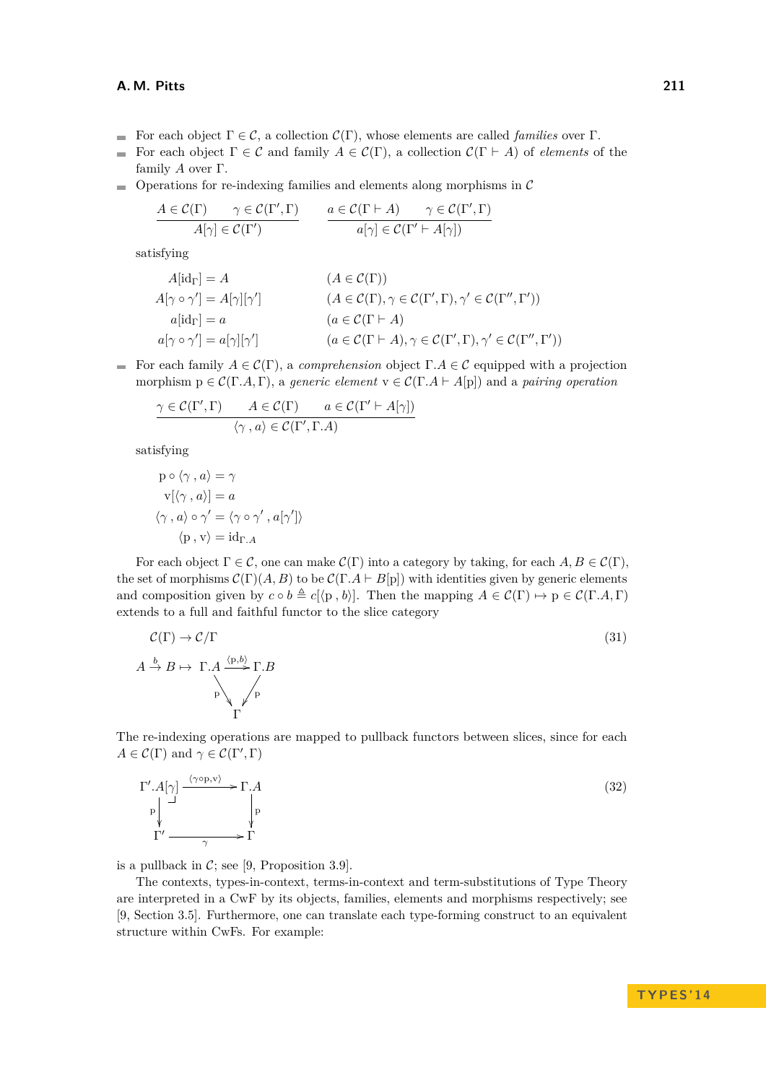### **A. M. Pitts 211**

- For each object  $\Gamma \in \mathcal{C}$ , a collection  $\mathcal{C}(\Gamma)$ , whose elements are called *families* over  $\Gamma$ .
- For each object  $\Gamma \in \mathcal{C}$  and family  $A \in \mathcal{C}(\Gamma)$ , a collection  $\mathcal{C}(\Gamma \vdash A)$  of *elements* of the  $\rightarrow$ family *A* over Γ.
- $\blacksquare$  Operations for re-indexing families and elements along morphisms in C

$$
\frac{A \in \mathcal{C}(\Gamma) \qquad \gamma \in \mathcal{C}(\Gamma', \Gamma)}{A[\gamma] \in \mathcal{C}(\Gamma')} \qquad \frac{a \in \mathcal{C}(\Gamma \vdash A) \qquad \gamma \in \mathcal{C}(\Gamma', \Gamma)}{a[\gamma] \in \mathcal{C}(\Gamma' \vdash A[\gamma])}
$$

satisfying

$$
A[\mathrm{id}_{\Gamma}] = A \qquad (A \in \mathcal{C}(\Gamma))
$$
  
\n
$$
A[\gamma \circ \gamma'] = A[\gamma][\gamma'] \qquad (A \in \mathcal{C}(\Gamma), \gamma \in \mathcal{C}(\Gamma', \Gamma), \gamma' \in \mathcal{C}(\Gamma'', \Gamma'))
$$
  
\n
$$
a[\mathrm{id}_{\Gamma}] = a \qquad (a \in \mathcal{C}(\Gamma \vdash A)
$$
  
\n
$$
a[\gamma \circ \gamma'] = a[\gamma][\gamma'] \qquad (a \in \mathcal{C}(\Gamma \vdash A), \gamma \in \mathcal{C}(\Gamma', \Gamma), \gamma' \in \mathcal{C}(\Gamma'', \Gamma'))
$$

For each family  $A \in \mathcal{C}(\Gamma)$ , a *comprehension* object  $\Gamma.A \in \mathcal{C}$  equipped with a projection morphism  $p \in C(\Gamma.A, \Gamma)$ , a *generic element*  $v \in C(\Gamma.A \vdash A[p])$  and a *pairing operation* 

$$
\frac{\gamma \in \mathcal{C}(\Gamma', \Gamma) \qquad A \in \mathcal{C}(\Gamma) \qquad a \in \mathcal{C}(\Gamma' \vdash A[\gamma])}{\langle \gamma, a \rangle \in \mathcal{C}(\Gamma', \Gamma.A)}
$$

satisfying

$$
p \circ \langle \gamma, a \rangle = \gamma
$$
  
\n
$$
v[\langle \gamma, a \rangle] = a
$$
  
\n
$$
\langle \gamma, a \rangle \circ \gamma' = \langle \gamma \circ \gamma', a[\gamma'] \rangle
$$
  
\n
$$
\langle p, v \rangle = id_{\Gamma.A}
$$

For each object  $\Gamma \in \mathcal{C}$ , one can make  $\mathcal{C}(\Gamma)$  into a category by taking, for each  $A, B \in \mathcal{C}(\Gamma)$ , the set of morphisms  $C(\Gamma)(A, B)$  to be  $C(\Gamma \cdot A \vdash B[p])$  with identities given by generic elements and composition given by  $c \circ b \triangleq c[\langle p, b \rangle]$ . Then the mapping  $A \in \mathcal{C}(\Gamma) \mapsto p \in \mathcal{C}(\Gamma, A, \Gamma)$ extends to a full and faithful functor to the slice category

<span id="page-9-0"></span>
$$
\mathcal{C}(\Gamma) \to \mathcal{C}/\Gamma
$$
\n
$$
A \xrightarrow{b} B \mapsto \Gamma \cdot A \xrightarrow{(\mathbf{p}, b)} \Gamma \cdot B
$$
\n
$$
\downarrow_{\Gamma} \downarrow_{\Gamma}
$$
\n
$$
(31)
$$

The re-indexing operations are mapped to pullback functors between slices, since for each  $A \in \mathcal{C}(\Gamma)$  and  $\gamma \in \mathcal{C}(\Gamma', \Gamma)$ 

$$
\Gamma'.A[\gamma] \xrightarrow{\langle \gamma \circ p, v \rangle} \Gamma.A
$$
\n
$$
\downarrow_{\mathbf{p}} \qquad \qquad \downarrow_{\mathbf{p}} \qquad \qquad (32)
$$
\n
$$
\Gamma' \xrightarrow{\gamma} \Gamma
$$

is a pullback in  $C$ ; see [\[9,](#page-17-4) Proposition 3.9].

The contexts, types-in-context, terms-in-context and term-substitutions of Type Theory are interpreted in a CwF by its objects, families, elements and morphisms respectively; see [\[9,](#page-17-4) Section 3.5]. Furthermore, one can translate each type-forming construct to an equivalent structure within CwFs. For example: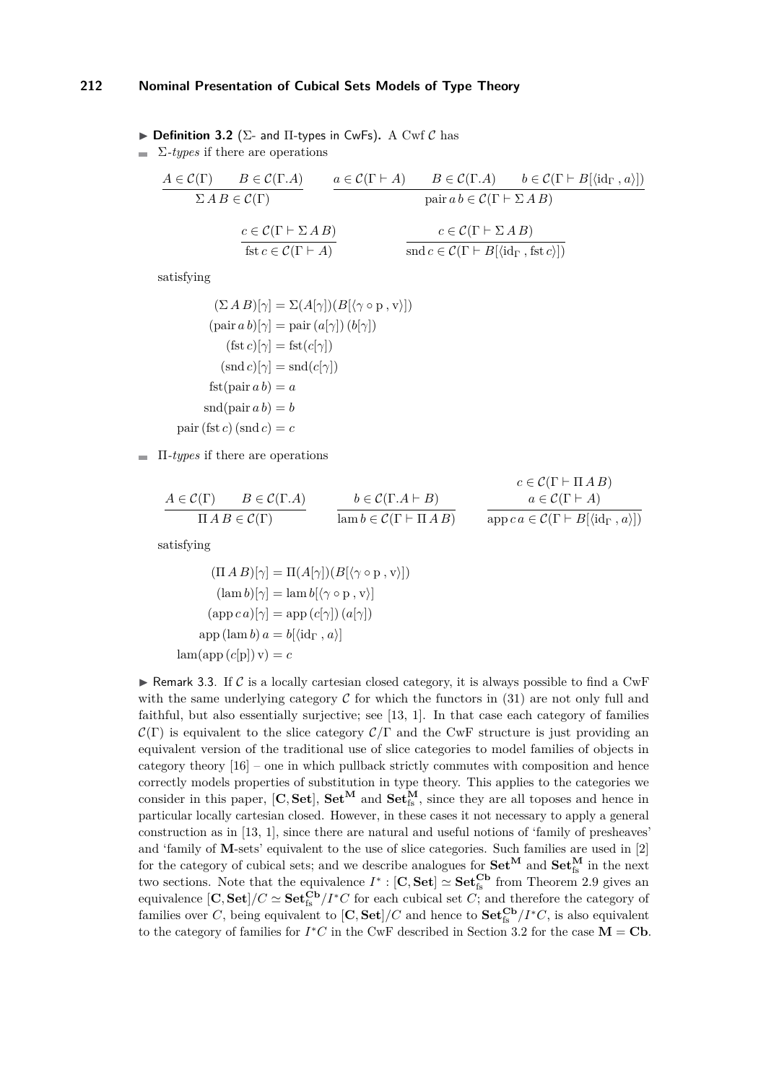<span id="page-10-0"></span> $\triangleright$  **Definition 3.2** ( $\Sigma$ - and  $\Pi$ -types in CwFs). A Cwf C has

 $\sum$ *-types* if there are operations

$$
A \in \mathcal{C}(\Gamma) \qquad B \in \mathcal{C}(\Gamma.A) \qquad a \in \mathcal{C}(\Gamma \vdash A) \qquad B \in \mathcal{C}(\Gamma \vdash B[\langle id_{\Gamma}, a \rangle])
$$
  
\n
$$
\Sigma AB \in \mathcal{C}(\Gamma) \qquad \text{pair } ab \in \mathcal{C}(\Gamma \vdash \Sigma AB)
$$
  
\n
$$
\frac{c \in \mathcal{C}(\Gamma \vdash \Sigma AB)}{\text{fst } c \in \mathcal{C}(\Gamma \vdash A)} \qquad \frac{c \in \mathcal{C}(\Gamma \vdash \Sigma AB)}{\text{snd } c \in \mathcal{C}(\Gamma \vdash B[\langle id_{\Gamma}, \text{fst } c \rangle])}
$$

satisfying

$$
(\Sigma \, A \, B)[\gamma] = \Sigma(A[\gamma])(B[\langle \gamma \circ \mathbf{p}, \mathbf{v} \rangle])
$$
  
\n
$$
(\text{pair } a \, b)[\gamma] = \text{pair } (a[\gamma]) (b[\gamma])
$$
  
\n
$$
(\text{fst } c)[\gamma] = \text{fst}(c[\gamma])
$$
  
\n
$$
(\text{snd } c)[\gamma] = \text{snd}(c[\gamma])
$$
  
\n
$$
\text{fst}(\text{pair } a \, b) = a
$$
  
\n
$$
\text{snd}(\text{pair } a \, b) = b
$$
  
\n
$$
\text{pair } (\text{fst } c) (\text{snd } c) = c
$$

Π*-types* if there are operations

$$
\frac{A \in \mathcal{C}(\Gamma)}{\Pi \, A \, B \in \mathcal{C}(\Gamma)} \qquad \frac{b \in \mathcal{C}(\Gamma \cdot A \vdash B)}{\operatorname{lamb} \in \mathcal{C}(\Gamma \vdash \Pi \, A \, B)} \qquad \frac{c \in \mathcal{C}(\Gamma \vdash \Pi \, A \, B)}{a \in \mathcal{C}(\Gamma \vdash A)}
$$

 $q(n)$   $\pi$   $(0, 0)$ 

satisfying

$$
(\Pi A B)[\gamma] = \Pi(A[\gamma])(B[\langle \gamma \circ p, v \rangle])
$$

$$
(\operatorname{lam} b)[\gamma] = \operatorname{lam} b[\langle \gamma \circ p, v \rangle]
$$

$$
(\operatorname{app} ca)[\gamma] = \operatorname{app} (c[\gamma])(a[\gamma])
$$

$$
\operatorname{app} (\operatorname{lam} b) a = b[\langle id_{\Gamma}, a \rangle]
$$

$$
\operatorname{lam}(\operatorname{app} (c[p]) v) = c
$$

**F** Remark 3.3. If C is a locally cartesian closed category, it is always possible to find a CwF with the same underlying category  $\mathcal C$  for which the functors in [\(31\)](#page-9-0) are not only full and faithful, but also essentially surjective; see [\[13,](#page-17-11) [1\]](#page-17-10). In that case each category of families  $\mathcal{C}(\Gamma)$  is equivalent to the slice category  $\mathcal{C}/\Gamma$  and the CwF structure is just providing an equivalent version of the traditional use of slice categories to model families of objects in category theory [\[16\]](#page-18-5) – one in which pullback strictly commutes with composition and hence correctly models properties of substitution in type theory. This applies to the categories we consider in this paper,  $[C, Set]$ ,  $Set^M$  and  $Set^M$ <sub>fs</sub>, since they are all toposes and hence in particular locally cartesian closed. However, in these cases it not necessary to apply a general construction as in [\[13,](#page-17-11) [1\]](#page-17-10), since there are natural and useful notions of 'family of presheaves' and 'family of **M**-sets' equivalent to the use of slice categories. Such families are used in [\[2\]](#page-17-0) for the category of cubical sets; and we describe analogues for  $Set^M$  and  $Set^M_{fs}$  in the next two sections. Note that the equivalence  $I^* : [\mathbf{C}, \mathbf{Set}] \simeq \mathbf{Set}_{\text{fs}}^{\mathbf{Cb}}$  from Theorem [2.9](#page-4-0) gives an equivalence  $[\mathbf{C}, \mathbf{Set}] / C \simeq \mathbf{Set}_{fs}^{\mathbf{Cb}} / I^* C$  for each cubical set *C*; and therefore the category of families over *C*, being equivalent to  $[\mathbf{C}, \mathbf{Set}] / C$  and hence to  $\mathbf{Set}_{\text{fs}}^{\mathbf{Cb}} / I^*C$ , is also equivalent to the category of families for  $I^*C$  in the CwF described in Section [3.2](#page-12-0) for the case  $M = Cb$ .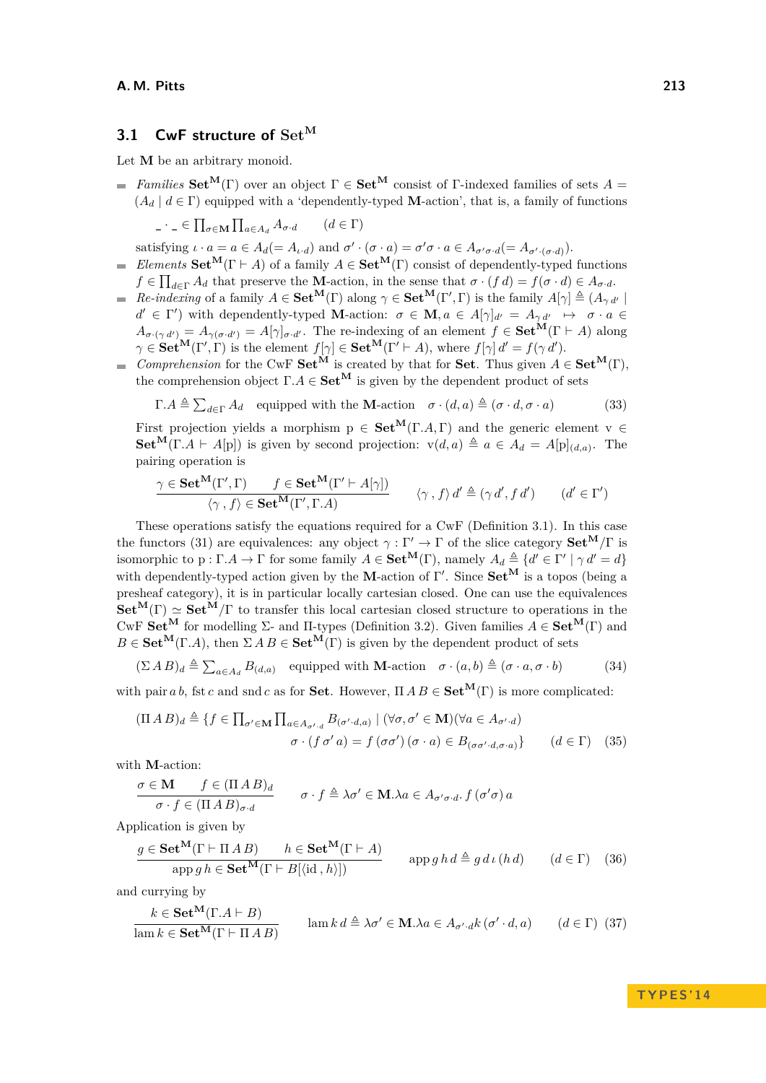### <span id="page-11-5"></span>**3.1 CwF structure of Set<sup>M</sup>**

Let **M** be an arbitrary monoid.

*Families*  $\mathbf{Set}^{\mathbf{M}}(\Gamma)$  over an object  $\Gamma \in \mathbf{Set}^{\mathbf{M}}$  consist of Γ-indexed families of sets  $A =$  $(A_d | d \in \Gamma)$  equipped with a 'dependently-typed **M**-action', that is, a family of functions

$$
\Box \cdot \Box \in \prod_{\sigma \in \mathbf{M}} \prod_{a \in A_d} A_{\sigma \cdot d} \qquad (d \in \Gamma)
$$

satisfying  $\iota \cdot a = a \in A_d (= A_{\iota \cdot d})$  and  $\sigma' \cdot (\sigma \cdot a) = \sigma' \sigma \cdot a \in A_{\sigma' \sigma \cdot d} (= A_{\sigma' \cdot (\sigma \cdot d)})$ .

- *Elements*  $\mathbf{Set}^{\mathbf{M}}(\Gamma \vdash A)$  of a family  $A \in \mathbf{Set}^{\mathbf{M}}(\Gamma)$  consist of dependently-typed functions  $f \in \prod_{d \in \Gamma} A_d$  that preserve the **M**-action, in the sense that  $\sigma \cdot (f \, d) = f(\sigma \cdot d) \in A_{\sigma \cdot d}$ .
- *Re-indexing* of a family  $A \in \mathbf{Set}^{\mathbf{M}}(\Gamma)$  along  $\gamma \in \mathbf{Set}^{\mathbf{M}}(\Gamma', \Gamma)$  is the family  $A[\gamma] \triangleq (A_{\gamma d'} | \gamma)$  $d' \in \Gamma'$  with dependently-typed **M**-action:  $\sigma \in \mathbf{M}$ ,  $a \in A[\gamma]_{d'} = A_{\gamma d'} \mapsto \sigma \cdot a \in$  $A_{\sigma \cdot (\gamma d')} = A_{\gamma(\sigma \cdot d')} = A[\gamma]_{\sigma \cdot d'}$ . The re-indexing of an element  $f \in \mathbf{Set}^{\mathbf{M}}(\Gamma \vdash A)$  along  $\gamma \in \mathbf{Set}^{\mathbf{M}}(\Gamma', \Gamma)$  is the element  $f[\gamma] \in \mathbf{Set}^{\mathbf{M}}(\Gamma' \vdash A)$ , where  $f[\gamma] d' = f(\gamma d')$ .
- *Comprehension* for the CwF **Set**<sup>M</sup> is created by that for **Set**. Thus given  $A \in \mathbf{Set}^{\mathbf{M}}(\Gamma)$ , the comprehension object  $\Gamma.A \in \mathbf{Set}^{\mathbf{M}}$  is given by the dependent product of sets

<span id="page-11-0"></span>
$$
\Gamma.A \triangleq \sum_{d \in \Gamma} A_d \quad \text{equipped with the } \mathbf{M}\text{-action} \quad \sigma \cdot (d, a) \triangleq (\sigma \cdot d, \sigma \cdot a) \tag{33}
$$

First projection yields a morphism  $p \in \mathbf{Set}^{\mathbf{M}}(\Gamma, A, \Gamma)$  and the generic element  $v \in$ **Set**<sup>M</sup>(Γ*.A*  $\vdash$  *A*[p]) is given by second projection:  $v(d, a) \triangleq a \in A_d = A[p]_{(d,a)}$ . The pairing operation is

$$
\frac{\gamma \in \mathbf{Set}^{\mathbf{M}}(\Gamma', \Gamma) \qquad f \in \mathbf{Set}^{\mathbf{M}}(\Gamma' \vdash A[\gamma])}{\langle \gamma \, , \, f \rangle \in \mathbf{Set}^{\mathbf{M}}(\Gamma', \Gamma.A)} \qquad \langle \gamma \, , \, f \rangle \, d' \triangleq (\gamma \, d', \, f \, d') \qquad (d' \in \Gamma')
$$

These operations satisfy the equations required for a CwF (Definition [3.1\)](#page-8-0). In this case the functors [\(31\)](#page-9-0) are equivalences: any object  $\gamma : \Gamma' \to \Gamma$  of the slice category  $\mathbf{Set}^{\mathbf{M}}/\Gamma$  is isomorphic to  $p: \Gamma \ A \to \Gamma$  for some family  $A \in \mathbf{Set}^{\mathbf{M}}(\Gamma)$ , namely  $A_d \triangleq \{d' \in \Gamma' \mid \gamma d' = d\}$ with dependently-typed action given by the **M**-action of Γ'. Since  $Set^M$  is a topos (being a presheaf category), it is in particular locally cartesian closed. One can use the equivalences **Set**<sup>M</sup>(Γ)  $\simeq$  **Set**<sup>M</sup>/Γ to transfer this local cartesian closed structure to operations in the CwF **Set<sup>M</sup>** for modelling Σ- and Π-types (Definition [3.2\)](#page-10-0). Given families *A* ∈ **SetM**(Γ) and  $B \in \mathbf{Set}^{\mathbf{M}}(\Gamma, A)$ , then  $\Sigma A B \in \mathbf{Set}^{\mathbf{M}}(\Gamma)$  is given by the dependent product of sets

$$
(\Sigma \, A \, B)_d \triangleq \sum_{a \in A_d} B_{(d,a)} \quad \text{equipped with } \mathbf{M} \text{-action} \quad \sigma \cdot (a,b) \triangleq (\sigma \cdot a, \sigma \cdot b) \tag{34}
$$

with pair *a b*, fst *c* and snd *c* as for **Set**. However,  $\Pi AB \in \mathbf{Set}^{\mathbf{M}}(\Gamma)$  is more complicated:

$$
(\Pi \, A \, B)_d \triangleq \{ f \in \prod_{\sigma' \in \mathbf{M}} \prod_{a \in A_{\sigma',d}} B_{(\sigma',d,a)} \mid (\forall \sigma, \sigma' \in \mathbf{M})(\forall a \in A_{\sigma',d})
$$

$$
\sigma \cdot (f \, \sigma' \, a) = f(\sigma \sigma') (\sigma \cdot a) \in B_{(\sigma \sigma',d,\sigma \cdot a)} \} \qquad (d \in \Gamma) \tag{35}
$$

with **M**-action:

$$
\frac{\sigma \in \mathbf{M}}{\sigma \cdot f \in (\Pi \land B)_{d}} \qquad \sigma \cdot f \triangleq \lambda \sigma' \in \mathbf{M}.\lambda a \in A_{\sigma' \sigma \cdot d}.\ f\left(\sigma'\sigma\right) a
$$

Application is given by

<span id="page-11-3"></span>
$$
\frac{g \in \mathbf{Set}^{\mathbf{M}}(\Gamma \vdash \Pi \, A \, B) \qquad h \in \mathbf{Set}^{\mathbf{M}}(\Gamma \vdash A)}{\operatorname{app} g \, h \in \mathbf{Set}^{\mathbf{M}}(\Gamma \vdash B[\langle \mathrm{id}, h \rangle])} \qquad \operatorname{app} g \, h \, d \triangleq g \, d \, \iota \, (h \, d) \qquad (d \in \Gamma) \tag{36}
$$

and currying by

<span id="page-11-4"></span>
$$
\frac{k \in \mathbf{Set}^{\mathbf{M}}(\Gamma, A \vdash B)}{\lim k \in \mathbf{Set}^{\mathbf{M}}(\Gamma \vdash \Pi \, A \, B)} \qquad \lim k \, d \triangleq \lambda \sigma' \in \mathbf{M}.\lambda a \in A_{\sigma'.d} k \, (\sigma' \cdot d, a) \qquad (d \in \Gamma) \tag{37}
$$

<span id="page-11-2"></span><span id="page-11-1"></span>**T Y P E S ' 1 4**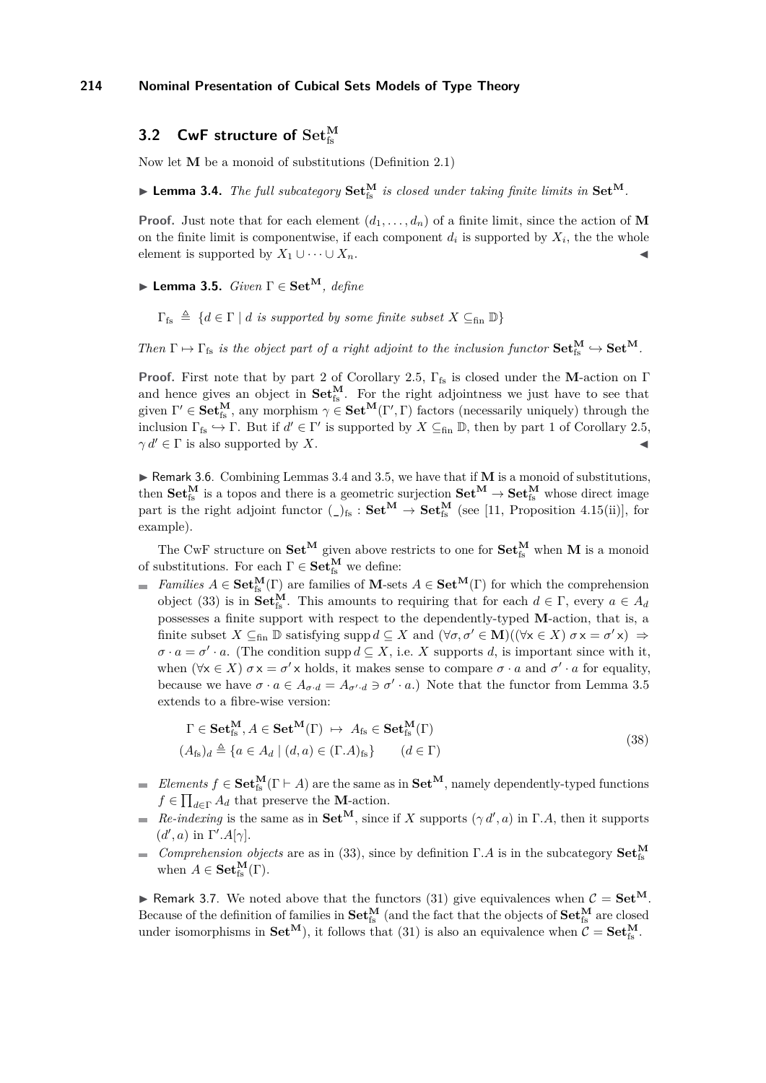## <span id="page-12-0"></span>**3.2 CwF structure of**  $\mathbf{Set}^{\mathbf{M}}_{\mathrm{fs}}$

Now let **M** be a monoid of substitutions (Definition [2.1\)](#page-2-0)

<span id="page-12-1"></span> $\blacktriangleright$  **Lemma 3.4.** *The full subcategory*  $\mathbf{Set}_{fs}^{\mathbf{M}}$  *is closed under taking finite limits in*  $\mathbf{Set}^{\mathbf{M}}$ *.* 

**Proof.** Just note that for each element  $(d_1, \ldots, d_n)$  of a finite limit, since the action of M on the finite limit is componentwise, if each component  $d_i$  is supported by  $X_i$ , the the whole element is supported by  $X_1 \cup \cdots \cup X_n$ .

<span id="page-12-2"></span>I **Lemma 3.5.** *Given* Γ ∈ **Set<sup>M</sup>***, define*

 $\Gamma_{fs} \triangleq \{d \in \Gamma \mid d \text{ is supported by some finite subset } X \subseteq_{fin} \mathbb{D}\}\$ 

*Then*  $\Gamma \mapsto \Gamma_{fs}$  *is the object part of a right adjoint to the inclusion functor*  $\mathbf{Set}_{fs}^{\mathbf{M}} \hookrightarrow \mathbf{Set}^{\mathbf{M}}$ *.* 

**Proof.** First note that by part [2](#page-3-4) of Corollary [2.5,](#page-3-5) Γ<sub>fs</sub> is closed under the **M**-action on Γ and hence gives an object in  $Set_{fs}^M$ . For the right adjointness we just have to see that given  $\Gamma' \in \mathbf{Set}_{fs}^{\mathbf{M}},$  any morphism  $\gamma \in \mathbf{Set}^{\mathbf{M}}(\Gamma', \Gamma)$  factors (necessarily uniquely) through the inclusion  $\Gamma_{\text{fs}} \hookrightarrow \Gamma$ . But if  $d' \in \Gamma'$  is supported by  $X \subseteq_{\text{fin}} \mathbb{D}$ , then by part [1](#page-3-2) of Corollary [2.5,](#page-3-5)  $\gamma d' \in \Gamma$  is also supported by *X*.

 $\triangleright$  Remark 3.6. Combining Lemmas [3.4](#page-12-1) and [3.5,](#page-12-2) we have that if **M** is a monoid of substitutions, then  $Set_{fs}^M$  is a topos and there is a geometric surjection  $Set^M \to Set_{fs}^M$  whose direct image part is the right adjoint functor  $\binom{1}{s}$  **Set**<sup>M</sup>  $\rightarrow$  **Set**<sup>M</sup><sub>is</sub> (see [\[11,](#page-17-12) Proposition 4.15(ii)], for example).

The CwF structure on  $\mathbf{Set}^{\mathbf{M}}$  given above restricts to one for  $\mathbf{Set}_{fs}^{\mathbf{M}}$  when  $\mathbf{M}$  is a monoid of substitutions. For each  $\Gamma \in \mathbf{Set}^{\mathbf{M}}_{\text{fs}}$  we define:

*Families*  $A \in \mathbf{Set}_{fs}^{\mathbf{M}}(\Gamma)$  are families of **M**-sets  $A \in \mathbf{Set}^{\mathbf{M}}(\Gamma)$  for which the comprehension object [\(33\)](#page-11-0) is in **Set**<sup>M</sup><sub>Is</sub>. This amounts to requiring that for each  $d \in \Gamma$ , every  $a \in A_d$ possesses a finite support with respect to the dependently-typed **M**-action, that is, a finite subset  $X \subseteq_{fin} \mathbb{D}$  satisfying supp  $d \subseteq X$  and  $(\forall \sigma, \sigma' \in \mathbf{M})((\forall x \in X) \sigma x = \sigma' x) \Rightarrow$  $\sigma \cdot a = \sigma' \cdot a$ . (The condition supp  $d \subseteq X$ , i.e. *X* supports *d*, is important since with it, when  $(\forall x \in X)$   $\sigma x = \sigma' x$  holds, it makes sense to compare  $\sigma \cdot a$  and  $\sigma' \cdot a$  for equality, because we have  $\sigma \cdot a \in A_{\sigma \cdot d} = A_{\sigma' \cdot d} \ni \sigma' \cdot a$ .) Note that the functor from Lemma [3.5](#page-12-2) extends to a fibre-wise version:

<span id="page-12-3"></span>
$$
\Gamma \in \mathbf{Set}_{\mathrm{fs}}^{\mathbf{M}}, A \in \mathbf{Set}^{\mathbf{M}}(\Gamma) \mapsto A_{\mathrm{fs}} \in \mathbf{Set}_{\mathrm{fs}}^{\mathbf{M}}(\Gamma)
$$
  

$$
(A_{\mathrm{fs}})_{d} \triangleq \{a \in A_{d} \mid (d, a) \in (\Gamma, A)_{\mathrm{fs}}\} \qquad (d \in \Gamma)
$$
 (38)

- *Elements*  $f \in \mathbf{Set}_{fs}^{\mathbf{M}}(\Gamma \vdash A)$  are the same as in  $\mathbf{Set}^{\mathbf{M}}$ , namely dependently-typed functions  $f \in \prod_{d \in \Gamma} A_d$  that preserve the **M**-action.
- *Re-indexing* is the same as in  $\mathbf{Set}^{\mathbf{M}}$ , since if *X* supports  $(\gamma d', a)$  in Γ*.A*, then it supports  $(d', a)$  in  $\Gamma'.A[\gamma]$ .
- *Comprehension objects* are as in [\(33\)](#page-11-0), since by definition  $\Gamma.A$  is in the subcategory  $\mathbf{Set}_{fs}^{\mathbf{M}}$  $\blacksquare$ when  $A \in \mathbf{Set}_{\text{fs}}^{\mathbf{M}}(\Gamma)$ .

<span id="page-12-4"></span>**If Remark 3.7.** We noted above that the functors [\(31\)](#page-9-0) give equivalences when  $C = \mathbf{Set}^{\mathbf{M}}$ . Because of the definition of families in  $Set^M_{fs}$  (and the fact that the objects of  $Set^M_{fs}$  are closed under isomorphisms in  $\mathbf{Set}^{\mathbf{M}}$ , it follows that [\(31\)](#page-9-0) is also an equivalence when  $C = \mathbf{Set}_{fs}^{\mathbf{M}}$ .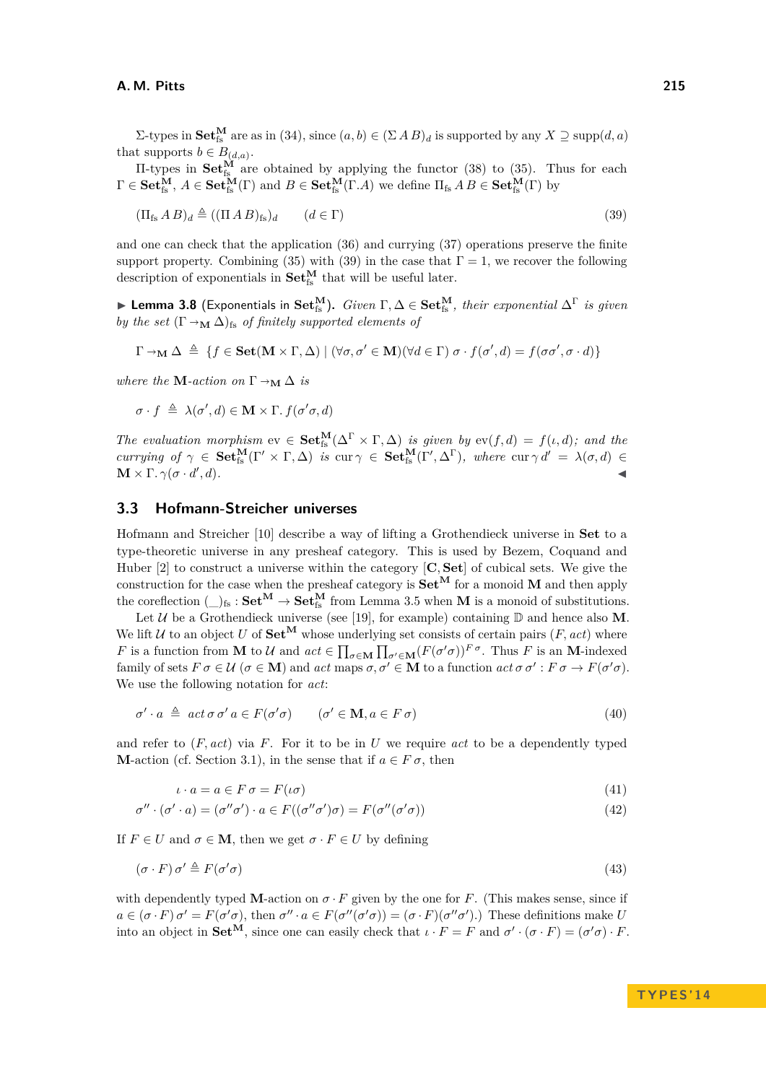$Σ$ -types in **Set**<sup>M</sup><sub><sup>fs</sub></sup> are as in [\(34\)](#page-11-1), since  $(a, b) ∈ (Σ A B)<sub>d</sub>$  is supported by any  $X ⊇$  supp $(d, a)$ </sub> that supports  $b \in B_{(d,a)}$ .

II-types in  $\text{Set}_{fs}^{\tilde{M}}$  are obtained by applying the functor [\(38\)](#page-12-3) to [\(35\)](#page-11-2). Thus for each  $\Gamma \in \mathbf{Set}^{\mathbf{M}}_{\text{fs}}, A \in \mathbf{Set}^{\mathbf{M}}_{\text{fs}}(\Gamma) \text{ and } B \in \mathbf{Set}^{\mathbf{M}}_{\text{fs}}(\Gamma, A) \text{ we define } \Pi_{\text{fs}} \land B \in \mathbf{Set}^{\mathbf{M}}_{\text{fs}}(\Gamma) \text{ by }$ 

<span id="page-13-1"></span>
$$
(\Pi_{\text{fs}} \, A \, B)_d \triangleq ((\Pi \, A \, B)_{\text{fs}})_d \qquad (d \in \Gamma) \tag{39}
$$

and one can check that the application [\(36\)](#page-11-3) and currying [\(37\)](#page-11-4) operations preserve the finite support property. Combining [\(35\)](#page-11-2) with [\(39\)](#page-13-1) in the case that  $\Gamma = 1$ , we recover the following description of exponentials in  $\mathbf{Set}^{\mathbf{M}}_{\mathrm{fs}}$  that will be useful later.

 $\blacktriangleright$  **Lemma 3.8** (Exponentials in  $\mathbf{Set}^{\mathbf{M}}_{fs}$ ). *Given* Γ,  $\Delta \in \mathbf{Set}^{\mathbf{M}}_{fs}$ , *their exponential*  $\Delta^{\Gamma}$  *is given by the set*  $(\Gamma \rightarrow_M \Delta)_{fs}$  *of finitely supported elements of* 

$$
\Gamma \to_{\mathbf{M}} \Delta \triangleq \{ f \in \mathbf{Set}(\mathbf{M} \times \Gamma, \Delta) \mid (\forall \sigma, \sigma' \in \mathbf{M})(\forall d \in \Gamma) \sigma \cdot f(\sigma', d) = f(\sigma \sigma', \sigma \cdot d) \}
$$

*where the* **M***-action on*  $\Gamma \rightarrow_M \Delta$  *is* 

$$
\sigma \cdot f \triangleq \lambda(\sigma', d) \in \mathbf{M} \times \Gamma \cdot f(\sigma' \sigma, d)
$$

*The evaluation morphism*  $ev \in \mathbf{Set}_{fs}^{\mathbf{M}}(\Delta^{\Gamma} \times \Gamma, \Delta)$  *is given by*  $ev(f, d) = f(\iota, d)$ *; and the currying of*  $\gamma \in \mathbf{Set}_{fs}^{\mathbf{M}}(\Gamma' \times \Gamma, \Delta)$  *is* cur  $\gamma \in \mathbf{Set}_{fs}^{\mathbf{M}}(\Gamma', \Delta^{\Gamma})$ *, where* cur  $\gamma d' = \lambda(\sigma, d)$  ∈  $$  $, d$ *)*.

### <span id="page-13-0"></span>**3.3 Hofmann-Streicher universes**

Hofmann and Streicher [\[10\]](#page-17-13) describe a way of lifting a Grothendieck universe in **Set** to a type-theoretic universe in any presheaf category. This is used by Bezem, Coquand and Huber [\[2\]](#page-17-0) to construct a universe within the category [**C***,* **Set**] of cubical sets. We give the construction for the case when the presheaf category is  $\mathbf{Set}^{\mathbf{M}}$  for a monoid **M** and then apply the coreflection  $(\_)_{fs} : \mathbf{Set}^{\mathbf{M}} \to \mathbf{Set}_{fs}^{\mathbf{M}}$  from Lemma [3.5](#page-12-2) when **M** is a monoid of substitutions.

Let  $U$  be a Grothendieck universe (see [\[19\]](#page-18-6), for example) containing  $D$  and hence also M. We lift  $U$  to an object  $U$  of  $\mathbf{Set}^{\mathbf{M}}$  whose underlying set consists of certain pairs  $(F, act)$  where *F* is a function from **M** to U and  $act \in \prod_{\sigma \in \mathbf{M}} \prod_{\sigma' \in \mathbf{M}} (F(\sigma' \sigma))^F$ <sup>*σ*</sup>. Thus *F* is an **M**-indexed family of sets  $F \sigma \in \mathcal{U}$  ( $\sigma \in \mathbf{M}$ ) and  $act$  maps  $\sigma, \sigma' \in \mathbf{M}$  to a function  $act \sigma \sigma' : F \sigma \to F(\sigma' \sigma)$ . We use the following notation for *act*:

<span id="page-13-2"></span>
$$
\sigma' \cdot a \triangleq act \sigma \sigma' a \in F(\sigma' \sigma) \qquad (\sigma' \in \mathbf{M}, a \in F \sigma)
$$
\n
$$
\tag{40}
$$

and refer to (*F, act*) via *F*. For it to be in *U* we require *act* to be a dependently typed **M**-action (cf. Section [3.1\)](#page-11-5), in the sense that if  $a \in F \sigma$ , then

<span id="page-13-4"></span><span id="page-13-3"></span>
$$
\iota \cdot a = a \in F \sigma = F(\iota \sigma) \tag{41}
$$

$$
\sigma'' \cdot (\sigma' \cdot a) = (\sigma'' \sigma') \cdot a \in F((\sigma'' \sigma') \sigma) = F(\sigma''(\sigma' \sigma))
$$
\n(42)

If  $F \in U$  and  $\sigma \in \mathbf{M}$ , then we get  $\sigma \cdot F \in U$  by defining

<span id="page-13-5"></span>
$$
(\sigma \cdot F) \sigma' \triangleq F(\sigma' \sigma) \tag{43}
$$

with dependently typed **M**-action on  $\sigma \cdot F$  given by the one for *F*. (This makes sense, since if  $a \in (\sigma \cdot F)$   $\sigma' = F(\sigma' \sigma)$ , then  $\sigma'' \cdot a \in F(\sigma''(\sigma' \sigma)) = (\sigma \cdot F)(\sigma'' \sigma')$ .) These definitions make U into an object in  $\mathbf{Set}^{\mathbf{M}}$ , since one can easily check that  $\iota \cdot F = F$  and  $\sigma' \cdot (\sigma \cdot F) = (\sigma' \sigma) \cdot F$ .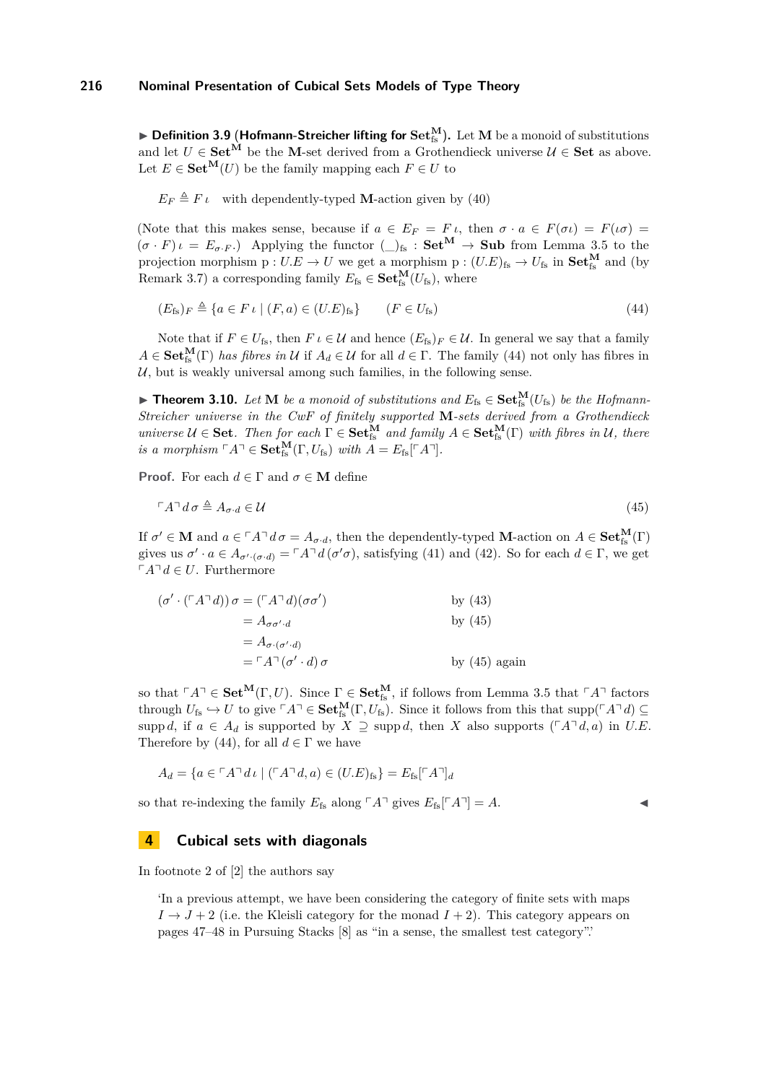▶ Definition 3.9 (Hofmann-Streicher lifting for Set<sup>M</sup><sub>is</sub>). Let M be a monoid of substitutions and let  $U \in \mathbf{Set}^{\mathbf{M}}$  be the **M**-set derived from a Grothendieck universe  $\mathcal{U} \in \mathbf{Set}$  as above. Let  $E \in \mathbf{Set}^{\mathbf{M}}(U)$  be the family mapping each  $F \in U$  to

 $E_F \triangleq F \iota$  with dependently-typed **M**-action given by [\(40\)](#page-13-2)

(Note that this makes sense, because if  $a \in E_F = F \iota$ , then  $\sigma \cdot a \in F(\sigma \iota) = F(\iota \sigma) =$  $(\sigma \cdot F) \iota = E_{\sigma \cdot F}$ .) Applying the functor  $\left(\bigcup_{f}S \colon \mathbf{Set}^{\mathbf{M}} \to \mathbf{Sub}$  from Lemma [3.5](#page-12-2) to the projection morphism  $p: U.E \to U$  we get a morphism  $p: (U.E)_{fs} \to U_{fs}$  in  $Set_{fs}^{\mathbf{M}}$  and (by Remark [3.7\)](#page-12-4) a corresponding family  $E_{\text{fs}} \in \mathbf{Set}_{\text{fs}}^{\mathbf{M}}(U_{\text{fs}})$ , where

<span id="page-14-1"></span>
$$
(E_{\text{fs}})_F \triangleq \{a \in F \iota \mid (F, a) \in (U.E)_{\text{fs}}\} \qquad (F \in U_{\text{fs}})
$$
\n
$$
(44)
$$

Note that if  $F \in U_{fs}$ , then  $F \iota \in \mathcal{U}$  and hence  $(E_{fs})_F \in \mathcal{U}$ . In general we say that a family  $A \in \mathbf{Set}_{fs}^{\mathbf{M}}(\Gamma)$  *has fibres in U* if  $A_d \in \mathcal{U}$  for all  $d \in \Gamma$ . The family [\(44\)](#page-14-1) not only has fibres in  $U$ , but is weakly universal among such families, in the following sense.

▶ **Theorem 3.10.** *Let* **M** *be a monoid of substitutions and*  $E_{fs} \in \mathbf{Set}_{fs}^{\mathbf{M}}(U_{fs})$  *be the Hofmann-Streicher universe in the CwF of finitely supported* **M***-sets derived from a Grothendieck*  $universe \, \mathcal{U} \in \mathbf{Set}$ *. Then for each*  $\Gamma \in \mathbf{Set}_{fs}^{\mathbf{M}}$  *and family*  $A \in \mathbf{Set}_{fs}^{\mathbf{M}}(\Gamma)$  *with fibres in*  $\mathcal{U}$ *, there is a morphism*  $\ulcorner A \urcorner \in \mathbf{Set}_{fs}^{\mathbf{M}}(\Gamma, U_{fs})$  *with*  $A = E_{fs}[\ulcorner A \urcorner]$ *.* 

**Proof.** For each  $d \in \Gamma$  and  $\sigma \in \mathbf{M}$  define

<span id="page-14-2"></span>
$$
\ulcorner A \urcorner d \sigma \triangleq A_{\sigma \cdot d} \in \mathcal{U} \tag{45}
$$

If  $\sigma' \in \mathbf{M}$  and  $a \in {}^{\Gamma}A^{\neg}d\sigma = A_{\sigma \cdot d}$ , then the dependently-typed **M**-action on  $A \in \mathbf{Set}_{\text{fs}}^{\mathbf{M}}(\Gamma)$ gives us  $\sigma' \cdot a \in A_{\sigma' \cdot (\sigma \cdot d)} = \ulcorner A \urcorner d(\sigma' \sigma)$ , satisfying [\(41\)](#page-13-3) and [\(42\)](#page-13-4). So for each  $d \in \Gamma$ , we get  $\ulcorner A \urcorner d \in U$ . Furthermore

$$
(\sigma' \cdot (\ulcorner A \urcorner d)) \sigma = (\ulcorner A \urcorner d)(\sigma \sigma')
$$
 by (43)  
=  $A_{\sigma \sigma' \cdot d}$  by (45)  
=  $A_{\sigma \cdot (\sigma' \cdot d)}$   
=  $\ulcorner A \urcorner (\sigma' \cdot d) \sigma$  by (45) again

so that  $\ulcorner A\urcorner \in \mathbf{Set}^{\mathbf{M}}(\Gamma, U)$ . Since  $\Gamma \in \mathbf{Set}^{\mathbf{M}}_{\text{fs}}$ , if follows from Lemma [3.5](#page-12-2) that  $\ulcorner A\urcorner$  factors through  $U_{fs} \hookrightarrow U$  to give  $\ulcorner A \urcorner \in \mathbf{Set}^{\mathbf{M}}_{fs}(\Gamma, U_{fs})$ . Since it follows from this that supp $(\ulcorner A \urcorner d) \subseteq$ supp *d*, if  $a \in A_d$  is supported by  $X \supseteq \text{supp } d$ , then *X* also supports ( $\ulcorner A \urcorner d, a$ ) in *U.E.* Therefore by [\(44\)](#page-14-1), for all  $d \in \Gamma$  we have

$$
A_d = \{ a \in \ulcorner A \urcorner d \iota \mid (\ulcorner A \urcorner d, a) \in (U.E)_{\text{fs}} \} = E_{\text{fs}}[\ulcorner A \urcorner]_d
$$

so that re-indexing the family  $E_{fs}$  along  $\lceil A \rceil$  gives  $E_{fs} \lceil A \rceil = A$ .

### <span id="page-14-0"></span>**4 Cubical sets with diagonals**

In footnote 2 of [\[2\]](#page-17-0) the authors say

'In a previous attempt, we have been considering the category of finite sets with maps  $I \rightarrow J + 2$  (i.e. the Kleisli category for the monad  $I + 2$ ). This category appears on pages 47–48 in Pursuing Stacks [\[8\]](#page-17-2) as "in a sense, the smallest test category".'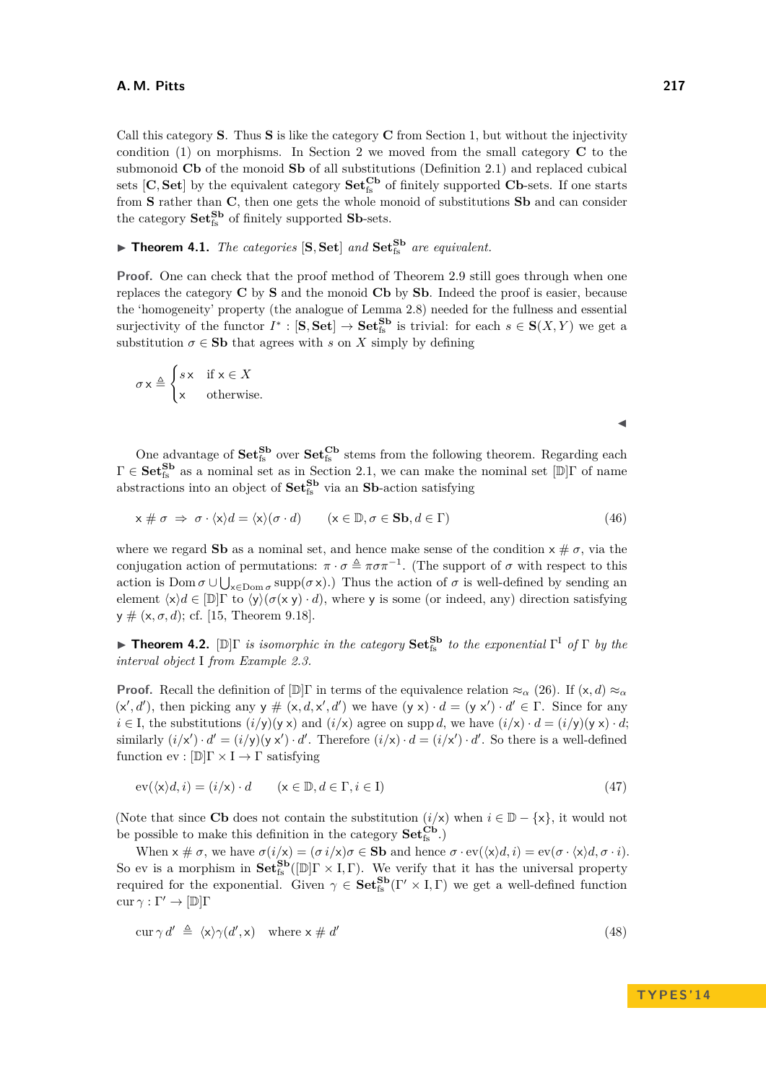Call this category **S**. Thus **S** is like the category **C** from Section [1,](#page-0-1) but without the injectivity condition [\(1\)](#page-0-0) on morphisms. In Section [2](#page-2-4) we moved from the small category **C** to the submonoid **Cb** of the monoid **Sb** of all substitutions (Definition [2.1\)](#page-2-0) and replaced cubical sets  $[C, Set]$  by the equivalent category  $Set_{fs}^{Cb}$  of finitely supported  $Cb$ -sets. If one starts from **S** rather than **C**, then one gets the whole monoid of substitutions **Sb** and can consider the category  $\mathbf{Set}_{fs}^{\mathbf{S}\mathbf{b}}$  of finitely supported  $\mathbf{S}\mathbf{b}$ -sets.

<span id="page-15-3"></span> $\blacktriangleright$  **Theorem 4.1.** *The categories* [S, Set] *and* Set<sup>*Sb</sup> are equivalent.*</sup>

**Proof.** One can check that the proof method of Theorem [2.9](#page-4-0) still goes through when one replaces the category **C** by **S** and the monoid **Cb** by **Sb**. Indeed the proof is easier, because the 'homogeneity' property (the analogue of Lemma [2.8\)](#page-4-3) needed for the fullness and essential surjectivity of the functor  $I^* : [\mathbf{S}, \mathbf{Set}] \to \mathbf{Set}^{\mathbf{S}\mathbf{b}}_{\text{fs}}$  is trivial: for each  $s \in \mathbf{S}(X, Y)$  we get a substitution  $\sigma \in$  **Sb** that agrees with *s* on *X* simply by defining

$$
\sigma \times \triangleq \begin{cases} s \times & \text{if } \times \in X \\ \times & \text{otherwise.} \end{cases}
$$

<span id="page-15-2"></span> $\blacktriangleleft$ 

One advantage of  $Set_{fs}^{Sb}$  over  $Set_{fs}^{Cb}$  stems from the following theorem. Regarding each  $\Gamma \in \mathbf{Set}^{\mathbf{Sb}}_{\text{fs}}$  as a nominal set as in Section [2.1,](#page-6-6) we can make the nominal set  $[\mathbb{D}]\Gamma$  of name abstractions into an object of  $\mathbf{Set}^{\mathbf{S}\mathbf{b}}_{\text{fs}}$  via an  $\mathbf{S}\mathbf{b}$ -action satisfying

$$
x \# \sigma \Rightarrow \sigma \cdot \langle x \rangle d = \langle x \rangle (\sigma \cdot d) \qquad (x \in \mathbb{D}, \sigma \in \mathbf{Sb}, d \in \Gamma) \tag{46}
$$

where we regard **Sb** as a nominal set, and hence make sense of the condition  $x \# \sigma$ , via the conjugation action of permutations:  $\pi \cdot \sigma \triangleq \pi \sigma \pi^{-1}$ . (The support of  $\sigma$  with respect to this action is  $Dom \sigma \cup \bigcup_{x \in Dom \sigma} supp(\sigma x)$ .) Thus the action of  $\sigma$  is well-defined by sending an element  $\langle x \rangle d \in [\mathbb{D}] \Gamma$  to  $\langle y \rangle (\sigma(x y) \cdot d)$ , where y is some (or indeed, any) direction satisfying y # (x*, σ, d*); cf. [\[15,](#page-17-1) Theorem 9.18].

<span id="page-15-0"></span>**► Theorem 4.2.**  $[\mathbb{D}]\Gamma$  *is isomorphic in the category*  $\mathbf{Set}_{fs}^{Sb}$  *to the exponential*  $\Gamma^I$  *of*  $\Gamma$  *by the interval object* I *from Example [2.3.](#page-3-7)*

**Proof.** Recall the definition of  $[\mathbb{D}]\Gamma$  in terms of the equivalence relation  $\approx_{\alpha} (26)$  $\approx_{\alpha} (26)$ . If  $(x, d) \approx_{\alpha}$  $(x', d')$ , then picking any  $y \# (x, d, x', d')$  we have  $(y \ x) \cdot d = (y \ x') \cdot d' \in \Gamma$ . Since for any  $i \in I$ , the substitutions  $(i/y)(y \times)$  and  $(i/x)$  agree on supp *d*, we have  $(i/x) \cdot d = (i/y)(y \times) \cdot d$ ; similarly  $(i/x') \cdot d' = (i/y)(y x') \cdot d'$ . Therefore  $(i/x) \cdot d = (i/x') \cdot d'$ . So there is a well-defined function ev :  $[\mathbb{D}]\Gamma \times I \to \Gamma$  satisfying

<span id="page-15-1"></span>
$$
ev(\langle x \rangle d, i) = (i/x) \cdot d \qquad (x \in \mathbb{D}, d \in \Gamma, i \in I)
$$
\n
$$
(47)
$$

(Note that since **Cb** does not contain the substitution  $(i/x)$  when  $i \in \mathbb{D} - \{x\}$ , it would not be possible to make this definition in the category  $\mathbf{Set}^{\mathbf{Cb}}_{\mathrm{fs}}$  .)

When  $x \text{ } \neq \sigma$ , we have  $\sigma(i/x) = (\sigma i/x)\sigma \in \mathbf{Sb}$  and hence  $\sigma \cdot \text{ev}(\langle x \rangle d, i) = \text{ev}(\sigma \cdot \langle x \rangle d, \sigma \cdot i)$ . So ev is a morphism in  $\mathbf{Set}^{\mathbf{Sb}}_{fs}([\mathbb{D}]\Gamma \times I, \Gamma)$ . We verify that it has the universal property required for the exponential. Given  $\gamma \in \mathbf{Set}^{\mathbf{Sb}}_{fs}(\Gamma' \times I, \Gamma)$  we get a well-defined function  $cur \gamma : \Gamma' \to [\mathbb{D}] \Gamma$ 

$$
\operatorname{cur}\gamma d' \triangleq \langle x \rangle \gamma (d', x) \quad \text{where } x \neq d' \tag{48}
$$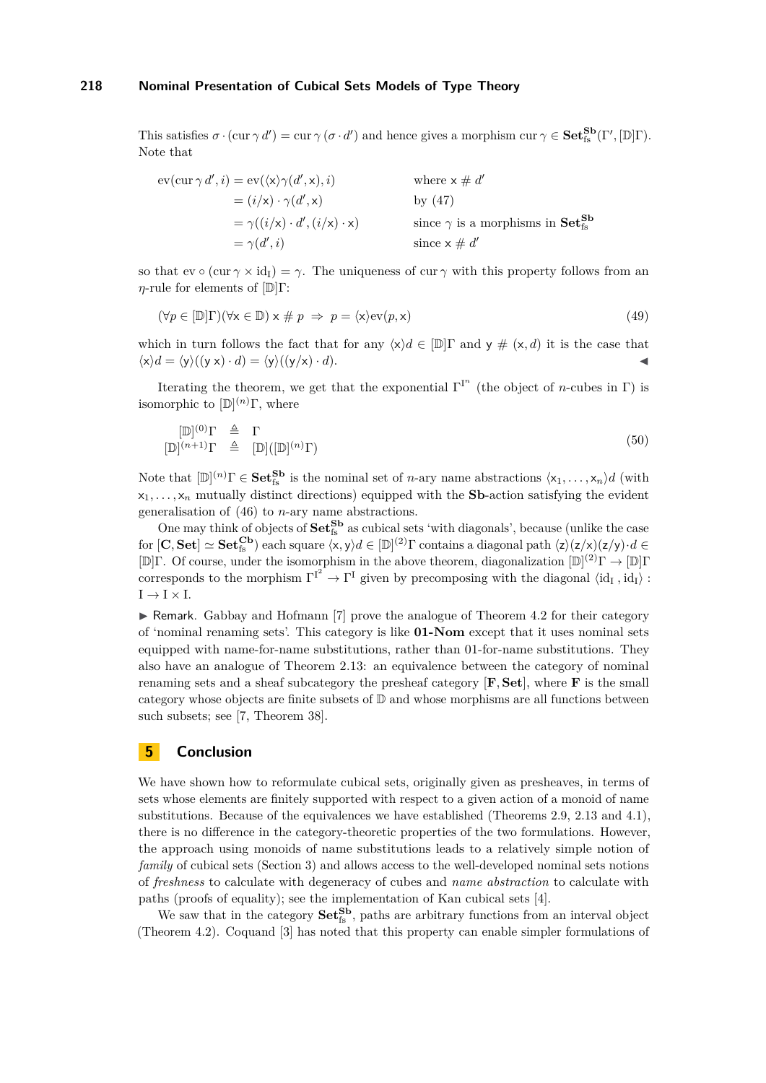This satisfies  $\sigma \cdot (\text{cur } \gamma \, d') = \text{cur } \gamma \, (\sigma \cdot d')$  and hence gives a morphism  $\text{cur } \gamma \in \mathbf{Set}^{\mathbf{Sb}}_{\text{fs}}(\Gamma', [\mathbb{D}]\Gamma)$ . Note that

$$
ev(cur \gamma d', i) = ev(\langle x \rangle \gamma(d', x), i)
$$
  
\n
$$
= (i/\mathbf{x}) \cdot \gamma(d', \mathbf{x})
$$
  
\n
$$
= \gamma((i/\mathbf{x}) \cdot d', (i/\mathbf{x}) \cdot \mathbf{x})
$$
  
\n
$$
= \gamma(d', i)
$$
  
\nwhere  $\mathbf{x} \neq d'$   
\nby (47)  
\nsince  $\gamma$  is a morphisms in **Set**<sub>is</sub><sup>5b</sup>  
\nsince  $\mathbf{x} \neq d'$ 

so that  $ev \circ (cur \gamma \times id_I) = \gamma$ . The uniqueness of cur  $\gamma$  with this property follows from an *η*-rule for elements of  $[D]$ Γ:

$$
(\forall p \in [\mathbb{D}]\Gamma)(\forall \mathsf{x} \in \mathbb{D}) \times \# \ p \ \Rightarrow \ p = \langle \mathsf{x} \rangle \text{ev}(p, \mathsf{x}) \tag{49}
$$

which in turn follows the fact that for any  $\langle x \rangle d \in [\mathbb{D}]\Gamma$  and  $y \# (x, d)$  it is the case that  $\langle x \rangle d = \langle y \rangle ((y \times) \cdot d) = \langle y \rangle ((y \times) \cdot d).$ 

Iterating the theorem, we get that the exponential  $\Gamma^{I^n}$  (the object of *n*-cubes in Γ) is isomorphic to [D] (*n*)Γ, where

$$
[\mathbb{D}]^{(0)}\Gamma \triangleq \Gamma
$$
  

$$
[\mathbb{D}]^{(n+1)}\Gamma \triangleq [\mathbb{D}]([\mathbb{D}]^{(n)}\Gamma)
$$
 (50)

Note that  $[\mathbb{D}]^{(n)}\Gamma \in \mathbf{Set}_{\text{fs}}^{\mathbf{Sb}}$  is the nominal set of *n*-ary name abstractions  $\langle x_1, \ldots, x_n \rangle d$  (with  $x_1, \ldots, x_n$  mutually distinct directions) equipped with the **Sb**-action satisfying the evident generalisation of [\(46\)](#page-15-2) to *n*-ary name abstractions.

One may think of objects of  $Set_{fs}^{Sb}$  as cubical sets 'with diagonals', because (unlike the case  $\text{for } [\mathbf{C}, \mathbf{Set}] \simeq \mathbf{Set}_{fs}^{\mathbf{Cb}}$  each square  $\langle x, y \rangle d \in [\mathbb{D}]^{(2)}\Gamma$  contains a diagonal path  $\langle z \rangle (z/x)(z/y) \cdot d \in$  $[\mathbb{D}]\Gamma$ . Of course, under the isomorphism in the above theorem, diagonalization  $[\mathbb{D}]^{(2)}\Gamma \to [\mathbb{D}]\Gamma$ corresponds to the morphism  $\Gamma^{I^2} \to \Gamma^I$  given by precomposing with the diagonal  $\langle id_I, id_I \rangle$ :  $I \rightarrow I \times I$ .

 $\triangleright$  Remark. Gabbay and Hofmann [\[7\]](#page-17-9) prove the analogue of Theorem [4.2](#page-15-0) for their category of 'nominal renaming sets'. This category is like **01-Nom** except that it uses nominal sets equipped with name-for-name substitutions, rather than 01-for-name substitutions. They also have an analogue of Theorem [2.13:](#page-7-0) an equivalence between the category of nominal renaming sets and a sheaf subcategory the presheaf category [**F***,* **Set**], where **F** is the small category whose objects are finite subsets of  $\mathbb D$  and whose morphisms are all functions between such subsets; see [\[7,](#page-17-9) Theorem 38].

### **5 Conclusion**

We have shown how to reformulate cubical sets, originally given as presheaves, in terms of sets whose elements are finitely supported with respect to a given action of a monoid of name substitutions. Because of the equivalences we have established (Theorems [2.9,](#page-4-0) [2.13](#page-7-0) and [4.1\)](#page-15-3), there is no difference in the category-theoretic properties of the two formulations. However, the approach using monoids of name substitutions leads to a relatively simple notion of *family* of cubical sets (Section [3\)](#page-8-1) and allows access to the well-developed nominal sets notions of *freshness* to calculate with degeneracy of cubes and *name abstraction* to calculate with paths (proofs of equality); see the implementation of Kan cubical sets [\[4\]](#page-17-6).

We saw that in the category  $\textbf{Set}_{fs}^{\textbf{S}\textbf{b}}$ , paths are arbitrary functions from an interval object (Theorem [4.2\)](#page-15-0). Coquand [\[3\]](#page-17-14) has noted that this property can enable simpler formulations of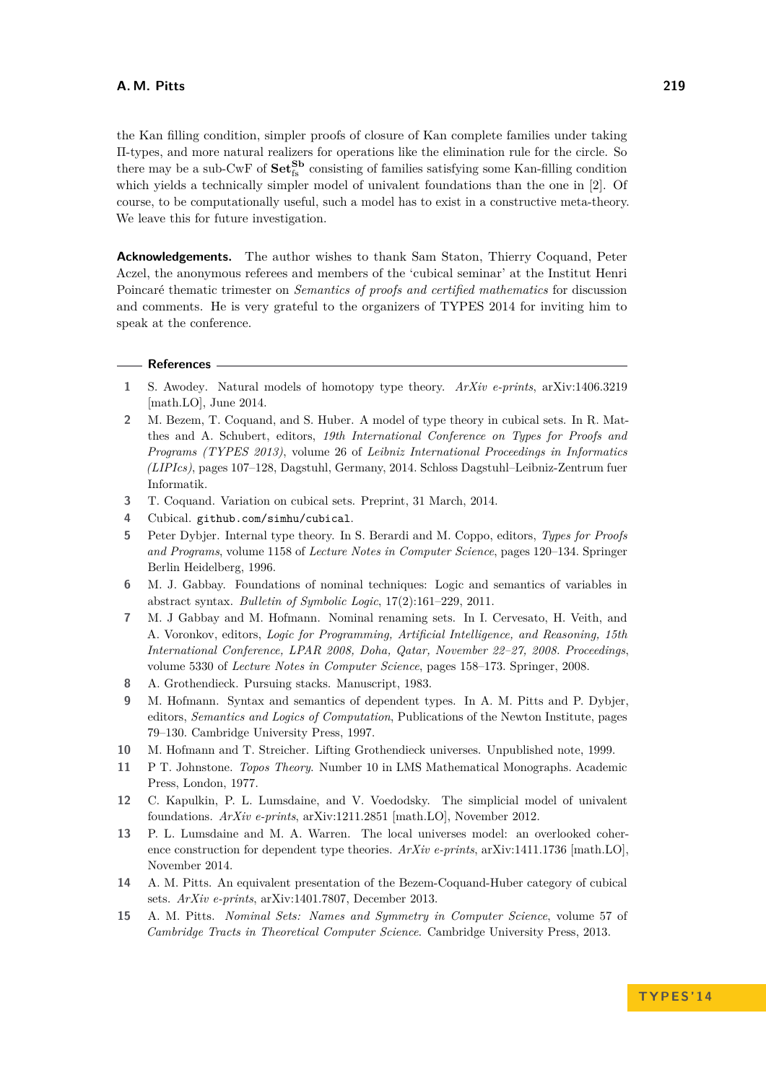the Kan filling condition, simpler proofs of closure of Kan complete families under taking Π-types, and more natural realizers for operations like the elimination rule for the circle. So there may be a sub-CwF of  $Set_{fs}^{Sb}$  consisting of families satisfying some Kan-filling condition which yields a technically simpler model of univalent foundations than the one in [\[2\]](#page-17-0). Of course, to be computationally useful, such a model has to exist in a constructive meta-theory. We leave this for future investigation.

**Acknowledgements.** The author wishes to thank Sam Staton, Thierry Coquand, Peter Aczel, the anonymous referees and members of the 'cubical seminar' at the Institut Henri Poincaré thematic trimester on *Semantics of proofs and certified mathematics* for discussion and comments. He is very grateful to the organizers of TYPES 2014 for inviting him to speak at the conference.

#### **References**

- <span id="page-17-0"></span>**2** M. Bezem, T. Coquand, and S. Huber. A model of type theory in cubical sets. In R. Matthes and A. Schubert, editors, *19th International Conference on Types for Proofs and Programs (TYPES 2013)*, volume 26 of *Leibniz International Proceedings in Informatics (LIPIcs)*, pages 107–128, Dagstuhl, Germany, 2014. Schloss Dagstuhl–Leibniz-Zentrum fuer Informatik.
- <span id="page-17-14"></span>**3** T. Coquand. Variation on cubical sets. Preprint, 31 March, 2014.
- <span id="page-17-6"></span>**4** Cubical. <github.com/simhu/cubical>.
- <span id="page-17-3"></span>**5** Peter Dybjer. Internal type theory. In S. Berardi and M. Coppo, editors, *Types for Proofs and Programs*, volume 1158 of *Lecture Notes in Computer Science*, pages 120–134. Springer Berlin Heidelberg, 1996.
- <span id="page-17-5"></span>**6** M. J. Gabbay. Foundations of nominal techniques: Logic and semantics of variables in abstract syntax. *Bulletin of Symbolic Logic*, 17(2):161–229, 2011.
- <span id="page-17-9"></span>**7** M. J Gabbay and M. Hofmann. Nominal renaming sets. In I. Cervesato, H. Veith, and A. Voronkov, editors, *Logic for Programming, Artificial Intelligence, and Reasoning, 15th International Conference, LPAR 2008, Doha, Qatar, November 22–27, 2008. Proceedings*, volume 5330 of *Lecture Notes in Computer Science*, pages 158–173. Springer, 2008.
- <span id="page-17-2"></span>**8** A. Grothendieck. Pursuing stacks. Manuscript, 1983.
- <span id="page-17-4"></span>**9** M. Hofmann. Syntax and semantics of dependent types. In A. M. Pitts and P. Dybjer, editors, *Semantics and Logics of Computation*, Publications of the Newton Institute, pages 79–130. Cambridge University Press, 1997.
- <span id="page-17-13"></span>**10** M. Hofmann and T. Streicher. Lifting Grothendieck universes. Unpublished note, 1999.
- <span id="page-17-12"></span>**11** P T. Johnstone. *Topos Theory*. Number 10 in LMS Mathematical Monographs. Academic Press, London, 1977.
- <span id="page-17-8"></span>**12** C. Kapulkin, P. L. Lumsdaine, and V. Voedodsky. The simplicial model of univalent foundations. *ArXiv e-prints*, arXiv:1211.2851 [math.LO], November 2012.
- <span id="page-17-11"></span>**13** P. L. Lumsdaine and M. A. Warren. The local universes model: an overlooked coherence construction for dependent type theories. *ArXiv e-prints*, arXiv:1411.1736 [math.LO], November 2014.
- <span id="page-17-7"></span>**14** A. M. Pitts. An equivalent presentation of the Bezem-Coquand-Huber category of cubical sets. *ArXiv e-prints*, arXiv:1401.7807, December 2013.
- <span id="page-17-1"></span>**15** A. M. Pitts. *Nominal Sets: Names and Symmetry in Computer Science*, volume 57 of *Cambridge Tracts in Theoretical Computer Science*. Cambridge University Press, 2013.

<span id="page-17-10"></span>**<sup>1</sup>** S. Awodey. Natural models of homotopy type theory. *ArXiv e-prints*, arXiv:1406.3219 [math.LO], June 2014.